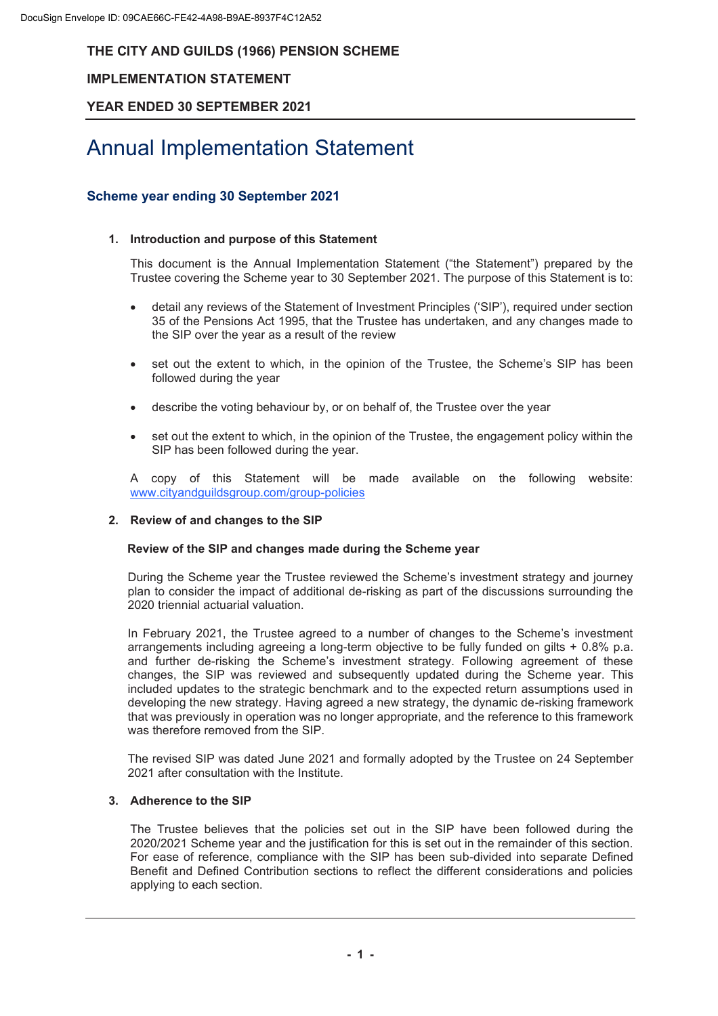## **IMPLEMENTATION STATEMENT**

## **YEAR ENDED 30 SEPTEMBER 2021**

# Annual Implementation Statement

## **Scheme year ending 30 September 2021**

#### **1. Introduction and purpose of this Statement**

This document is the Annual Implementation Statement ("the Statement") prepared by the Trustee covering the Scheme year to 30 September 2021. The purpose of this Statement is to:

- · detail any reviews of the Statement of Investment Principles ('SIP'), required under section 35 of the Pensions Act 1995, that the Trustee has undertaken, and any changes made to the SIP over the year as a result of the review
- set out the extent to which, in the opinion of the Trustee, the Scheme's SIP has been followed during the year
- describe the voting behaviour by, or on behalf of, the Trustee over the year
- set out the extent to which, in the opinion of the Trustee, the engagement policy within the SIP has been followed during the year.

A copy of this Statement will be made available on the following website: www.cityandguildsgroup.com/group-policies

#### **2. Review of and changes to the SIP**

#### **Review of the SIP and changes made during the Scheme year**

During the Scheme year the Trustee reviewed the Scheme's investment strategy and journey plan to consider the impact of additional de-risking as part of the discussions surrounding the 2020 triennial actuarial valuation.

In February 2021, the Trustee agreed to a number of changes to the Scheme's investment arrangements including agreeing a long-term objective to be fully funded on gilts + 0.8% p.a. and further de-risking the Scheme's investment strategy. Following agreement of these changes, the SIP was reviewed and subsequently updated during the Scheme year. This included updates to the strategic benchmark and to the expected return assumptions used in developing the new strategy. Having agreed a new strategy, the dynamic de-risking framework that was previously in operation was no longer appropriate, and the reference to this framework was therefore removed from the SIP.

The revised SIP was dated June 2021 and formally adopted by the Trustee on 24 September 2021 after consultation with the Institute.

#### **3. Adherence to the SIP**

The Trustee believes that the policies set out in the SIP have been followed during the 2020/2021 Scheme year and the justification for this is set out in the remainder of this section. For ease of reference, compliance with the SIP has been sub-divided into separate Defined Benefit and Defined Contribution sections to reflect the different considerations and policies applying to each section.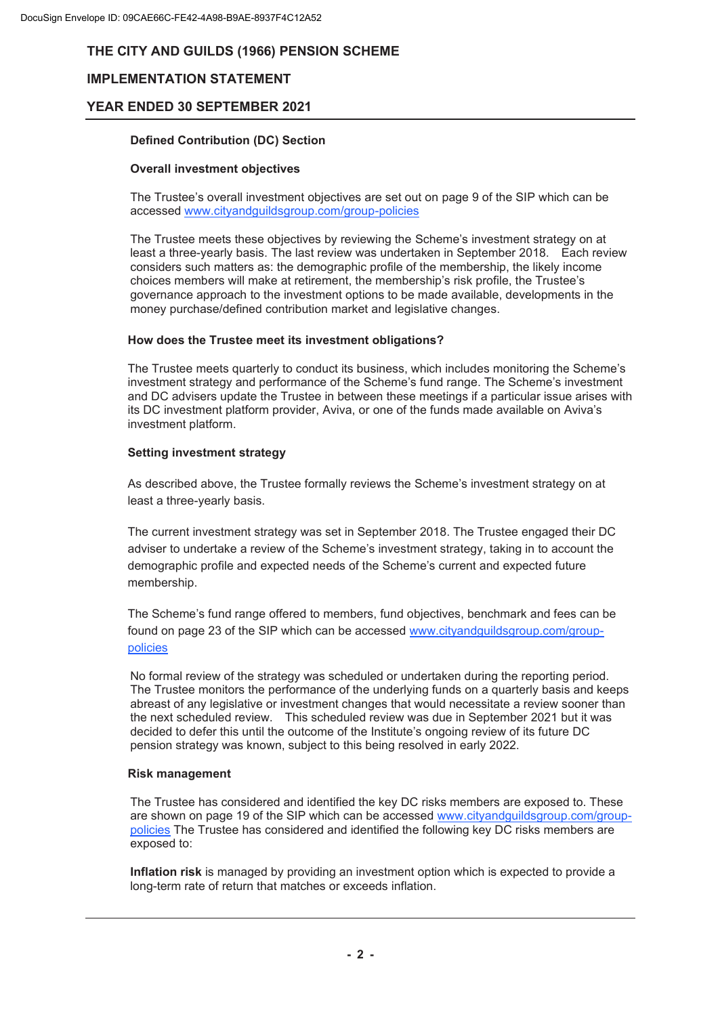## **IMPLEMENTATION STATEMENT**

## **YEAR ENDED 30 SEPTEMBER 2021**

#### **Defined Contribution (DC) Section**

#### **Overall investment objectives**

The Trustee's overall investment objectives are set out on page 9 of the SIP which can be accessed www.cityandguildsgroup.com/group-policies

The Trustee meets these objectives by reviewing the Scheme's investment strategy on at least a three-yearly basis. The last review was undertaken in September 2018. Each review considers such matters as: the demographic profile of the membership, the likely income choices members will make at retirement, the membership's risk profile, the Trustee's governance approach to the investment options to be made available, developments in the money purchase/defined contribution market and legislative changes.

#### **How does the Trustee meet its investment obligations?**

The Trustee meets quarterly to conduct its business, which includes monitoring the Scheme's investment strategy and performance of the Scheme's fund range. The Scheme's investment and DC advisers update the Trustee in between these meetings if a particular issue arises with its DC investment platform provider, Aviva, or one of the funds made available on Aviva's investment platform.

#### **Setting investment strategy**

As described above, the Trustee formally reviews the Scheme's investment strategy on at least a three-yearly basis.

The current investment strategy was set in September 2018. The Trustee engaged their DC adviser to undertake a review of the Scheme's investment strategy, taking in to account the demographic profile and expected needs of the Scheme's current and expected future membership.

The Scheme's fund range offered to members, fund objectives, benchmark and fees can be found on page 23 of the SIP which can be accessed www.cityandguildsgroup.com/grouppolicies

No formal review of the strategy was scheduled or undertaken during the reporting period. The Trustee monitors the performance of the underlying funds on a quarterly basis and keeps abreast of any legislative or investment changes that would necessitate a review sooner than the next scheduled review. This scheduled review was due in September 2021 but it was decided to defer this until the outcome of the Institute's ongoing review of its future DC pension strategy was known, subject to this being resolved in early 2022.

#### **Risk management**

The Trustee has considered and identified the key DC risks members are exposed to. These are shown on page 19 of the SIP which can be accessed www.cityandguildsgroup.com/grouppolicies The Trustee has considered and identified the following key DC risks members are exposed to:

**Inflation risk** is managed by providing an investment option which is expected to provide a long-term rate of return that matches or exceeds inflation.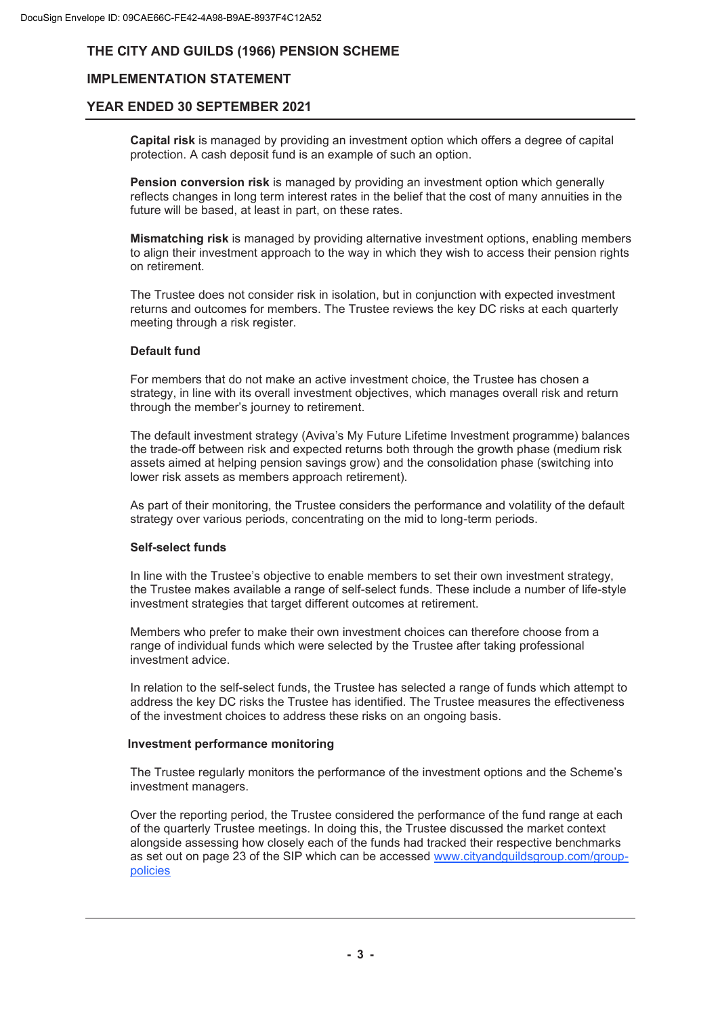## **IMPLEMENTATION STATEMENT**

### **YEAR ENDED 30 SEPTEMBER 2021**

**Capital risk** is managed by providing an investment option which offers a degree of capital protection. A cash deposit fund is an example of such an option.

**Pension conversion risk** is managed by providing an investment option which generally reflects changes in long term interest rates in the belief that the cost of many annuities in the future will be based, at least in part, on these rates.

**Mismatching risk** is managed by providing alternative investment options, enabling members to align their investment approach to the way in which they wish to access their pension rights on retirement.

The Trustee does not consider risk in isolation, but in conjunction with expected investment returns and outcomes for members. The Trustee reviews the key DC risks at each quarterly meeting through a risk register.

#### **Default fund**

For members that do not make an active investment choice, the Trustee has chosen a strategy, in line with its overall investment objectives, which manages overall risk and return through the member's journey to retirement.

The default investment strategy (Aviva's My Future Lifetime Investment programme) balances the trade-off between risk and expected returns both through the growth phase (medium risk assets aimed at helping pension savings grow) and the consolidation phase (switching into lower risk assets as members approach retirement).

As part of their monitoring, the Trustee considers the performance and volatility of the default strategy over various periods, concentrating on the mid to long-term periods.

#### **Self-select funds**

In line with the Trustee's objective to enable members to set their own investment strategy, the Trustee makes available a range of self-select funds. These include a number of life-style investment strategies that target different outcomes at retirement.

Members who prefer to make their own investment choices can therefore choose from a range of individual funds which were selected by the Trustee after taking professional investment advice.

In relation to the self-select funds, the Trustee has selected a range of funds which attempt to address the key DC risks the Trustee has identified. The Trustee measures the effectiveness of the investment choices to address these risks on an ongoing basis.

#### **Investment performance monitoring**

The Trustee regularly monitors the performance of the investment options and the Scheme's investment managers.

Over the reporting period, the Trustee considered the performance of the fund range at each of the quarterly Trustee meetings. In doing this, the Trustee discussed the market context alongside assessing how closely each of the funds had tracked their respective benchmarks as set out on page 23 of the SIP which can be accessed www.cityandguildsgroup.com/grouppolicies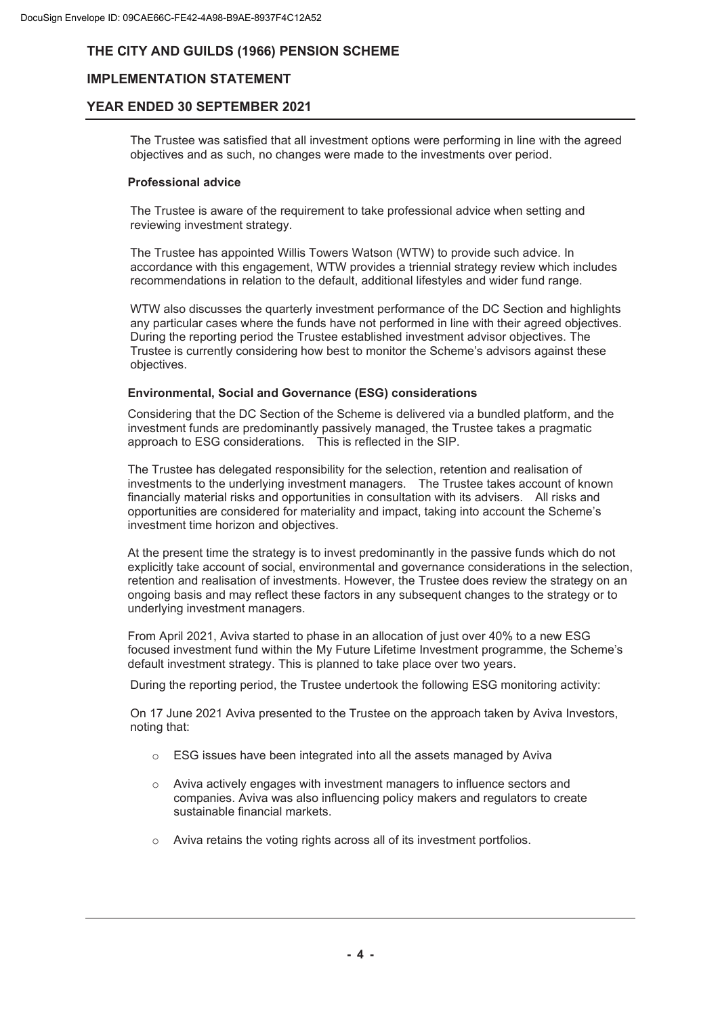## **IMPLEMENTATION STATEMENT**

## **YEAR ENDED 30 SEPTEMBER 2021**

The Trustee was satisfied that all investment options were performing in line with the agreed objectives and as such, no changes were made to the investments over period.

#### **Professional advice**

The Trustee is aware of the requirement to take professional advice when setting and reviewing investment strategy.

The Trustee has appointed Willis Towers Watson (WTW) to provide such advice. In accordance with this engagement, WTW provides a triennial strategy review which includes recommendations in relation to the default, additional lifestyles and wider fund range.

WTW also discusses the quarterly investment performance of the DC Section and highlights any particular cases where the funds have not performed in line with their agreed objectives. During the reporting period the Trustee established investment advisor objectives. The Trustee is currently considering how best to monitor the Scheme's advisors against these objectives.

#### **Environmental, Social and Governance (ESG) considerations**

Considering that the DC Section of the Scheme is delivered via a bundled platform, and the investment funds are predominantly passively managed, the Trustee takes a pragmatic approach to ESG considerations. This is reflected in the SIP.

The Trustee has delegated responsibility for the selection, retention and realisation of investments to the underlying investment managers. The Trustee takes account of known financially material risks and opportunities in consultation with its advisers. All risks and opportunities are considered for materiality and impact, taking into account the Scheme's investment time horizon and objectives.

At the present time the strategy is to invest predominantly in the passive funds which do not explicitly take account of social, environmental and governance considerations in the selection, retention and realisation of investments. However, the Trustee does review the strategy on an ongoing basis and may reflect these factors in any subsequent changes to the strategy or to underlying investment managers.

From April 2021, Aviva started to phase in an allocation of just over 40% to a new ESG focused investment fund within the My Future Lifetime Investment programme, the Scheme's default investment strategy. This is planned to take place over two years.

During the reporting period, the Trustee undertook the following ESG monitoring activity:

On 17 June 2021 Aviva presented to the Trustee on the approach taken by Aviva Investors, noting that:

- o ESG issues have been integrated into all the assets managed by Aviva
- o Aviva actively engages with investment managers to influence sectors and companies. Aviva was also influencing policy makers and regulators to create sustainable financial markets.
- $\circ$  Aviva retains the voting rights across all of its investment portfolios.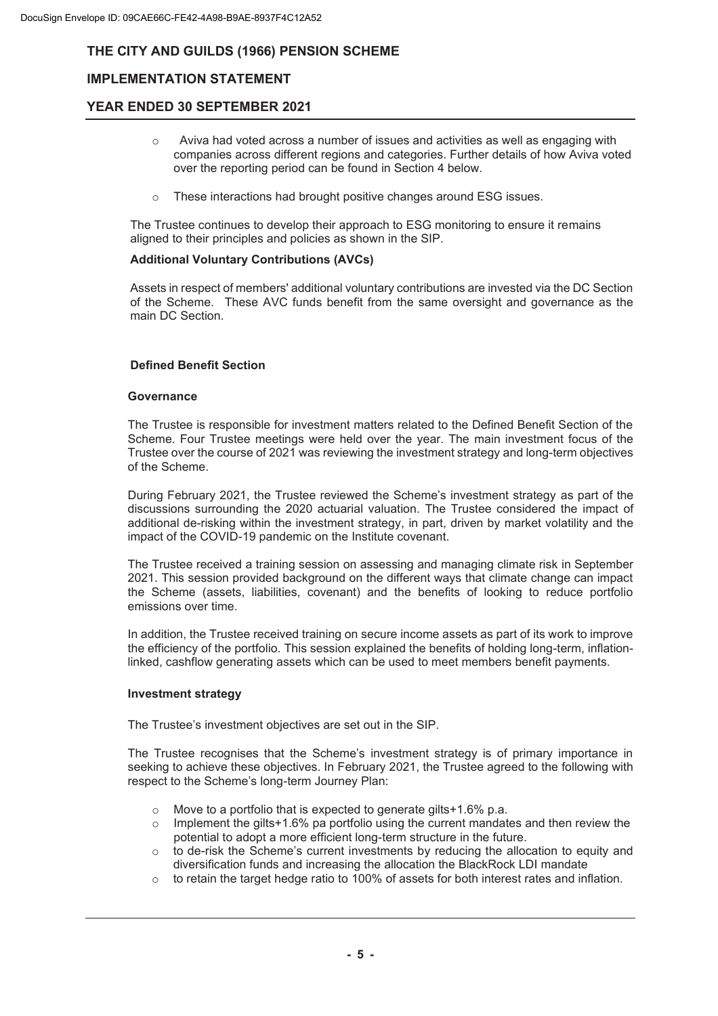## **IMPLEMENTATION STATEMENT**

## **YEAR ENDED 30 SEPTEMBER 2021**

- $\circ$  Aviva had voted across a number of issues and activities as well as engaging with companies across different regions and categories. Further details of how Aviva voted over the reporting period can be found in Section 4 below.
- $\circ$  These interactions had brought positive changes around ESG issues.

The Trustee continues to develop their approach to ESG monitoring to ensure it remains aligned to their principles and policies as shown in the SIP.

#### **Additional Voluntary Contributions (AVCs)**

Assets in respect of members' additional voluntary contributions are invested via the DC Section of the Scheme. These AVC funds benefit from the same oversight and governance as the main DC Section.

#### **Defined Benefit Section**

#### **Governance**

The Trustee is responsible for investment matters related to the Defined Benefit Section of the Scheme. Four Trustee meetings were held over the year. The main investment focus of the Trustee over the course of 2021 was reviewing the investment strategy and long-term objectives of the Scheme.

During February 2021, the Trustee reviewed the Scheme's investment strategy as part of the discussions surrounding the 2020 actuarial valuation. The Trustee considered the impact of additional de-risking within the investment strategy, in part, driven by market volatility and the impact of the COVID-19 pandemic on the Institute covenant.

The Trustee received a training session on assessing and managing climate risk in September 2021. This session provided background on the different ways that climate change can impact the Scheme (assets, liabilities, covenant) and the benefits of looking to reduce portfolio emissions over time.

In addition, the Trustee received training on secure income assets as part of its work to improve the efficiency of the portfolio. This session explained the benefits of holding long-term, inflationlinked, cashflow generating assets which can be used to meet members benefit payments.

#### **Investment strategy**

The Trustee's investment objectives are set out in the SIP.

The Trustee recognises that the Scheme's investment strategy is of primary importance in seeking to achieve these objectives. In February 2021, the Trustee agreed to the following with respect to the Scheme's long-term Journey Plan:

- o Move to a portfolio that is expected to generate gilts+1.6% p.a.
- $\circ$  Implement the gilts+1.6% pa portfolio using the current mandates and then review the potential to adopt a more efficient long-term structure in the future.
- $\circ$  to de-risk the Scheme's current investments by reducing the allocation to equity and diversification funds and increasing the allocation the BlackRock LDI mandate
- $\circ$  to retain the target hedge ratio to 100% of assets for both interest rates and inflation.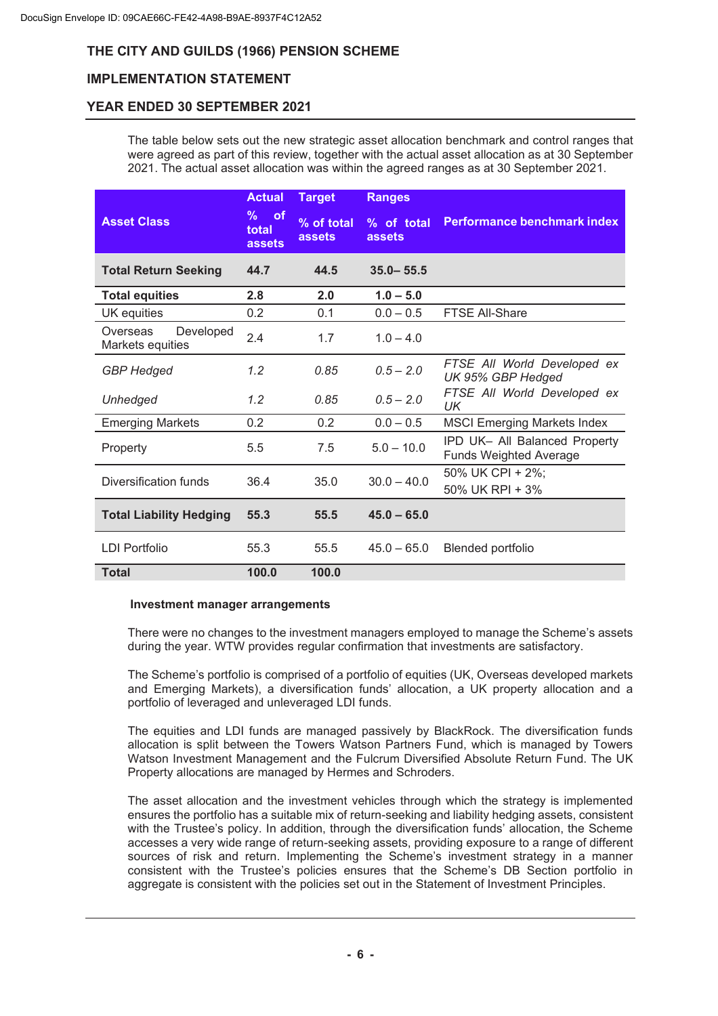## **IMPLEMENTATION STATEMENT**

## **YEAR ENDED 30 SEPTEMBER 2021**

The table below sets out the new strategic asset allocation benchmark and control ranges that were agreed as part of this review, together with the actual asset allocation as at 30 September 2021. The actual asset allocation was within the agreed ranges as at 30 September 2021.

|                                           | <b>Actual</b>                            | <b>Target</b>        | <b>Ranges</b>        |                                                                |
|-------------------------------------------|------------------------------------------|----------------------|----------------------|----------------------------------------------------------------|
| <b>Asset Class</b>                        | <b>of</b><br>%<br>total<br><b>assets</b> | % of total<br>assets | % of total<br>assets | Performance benchmark index                                    |
| <b>Total Return Seeking</b>               | 44.7                                     | 44.5                 | $35.0 - 55.5$        |                                                                |
| <b>Total equities</b>                     | 2.8                                      | 2.0                  | $1.0 - 5.0$          |                                                                |
| UK equities                               | 0.2                                      | 0.1                  | $0.0 - 0.5$          | FTSE All-Share                                                 |
| Overseas<br>Developed<br>Markets equities | 2.4                                      | 1.7                  | $1.0 - 4.0$          |                                                                |
| <b>GBP</b> Hedged                         | 1.2                                      | 0.85                 | $0.5 - 2.0$          | FTSE All World Developed ex<br>UK 95% GBP Hedged               |
| Unhedged                                  | 1.2                                      | 0.85                 | $0.5 - 2.0$          | FTSE All World Developed ex<br>UK                              |
| <b>Emerging Markets</b>                   | 0.2                                      | 0.2                  | $0.0 - 0.5$          | <b>MSCI Emerging Markets Index</b>                             |
| Property                                  | 5.5                                      | 7.5                  | $5.0 - 10.0$         | IPD UK- All Balanced Property<br><b>Funds Weighted Average</b> |
| Diversification funds                     | 36.4                                     | 35.0                 | $30.0 - 40.0$        | 50% UK CPI + 2%;<br>50% UK RPI + 3%                            |
| <b>Total Liability Hedging</b>            | 55.3                                     | 55.5                 | $45.0 - 65.0$        |                                                                |
| <b>LDI Portfolio</b>                      | 55.3                                     | 55.5                 | $45.0 - 65.0$        | <b>Blended portfolio</b>                                       |
| <b>Total</b>                              | 100.0                                    | 100.0                |                      |                                                                |

#### **Investment manager arrangements**

There were no changes to the investment managers employed to manage the Scheme's assets during the year. WTW provides regular confirmation that investments are satisfactory.

The Scheme's portfolio is comprised of a portfolio of equities (UK, Overseas developed markets and Emerging Markets), a diversification funds' allocation, a UK property allocation and a portfolio of leveraged and unleveraged LDI funds.

The equities and LDI funds are managed passively by BlackRock. The diversification funds allocation is split between the Towers Watson Partners Fund, which is managed by Towers Watson Investment Management and the Fulcrum Diversified Absolute Return Fund. The UK Property allocations are managed by Hermes and Schroders.

The asset allocation and the investment vehicles through which the strategy is implemented ensures the portfolio has a suitable mix of return-seeking and liability hedging assets, consistent with the Trustee's policy. In addition, through the diversification funds' allocation, the Scheme accesses a very wide range of return-seeking assets, providing exposure to a range of different sources of risk and return. Implementing the Scheme's investment strategy in a manner consistent with the Trustee's policies ensures that the Scheme's DB Section portfolio in aggregate is consistent with the policies set out in the Statement of Investment Principles.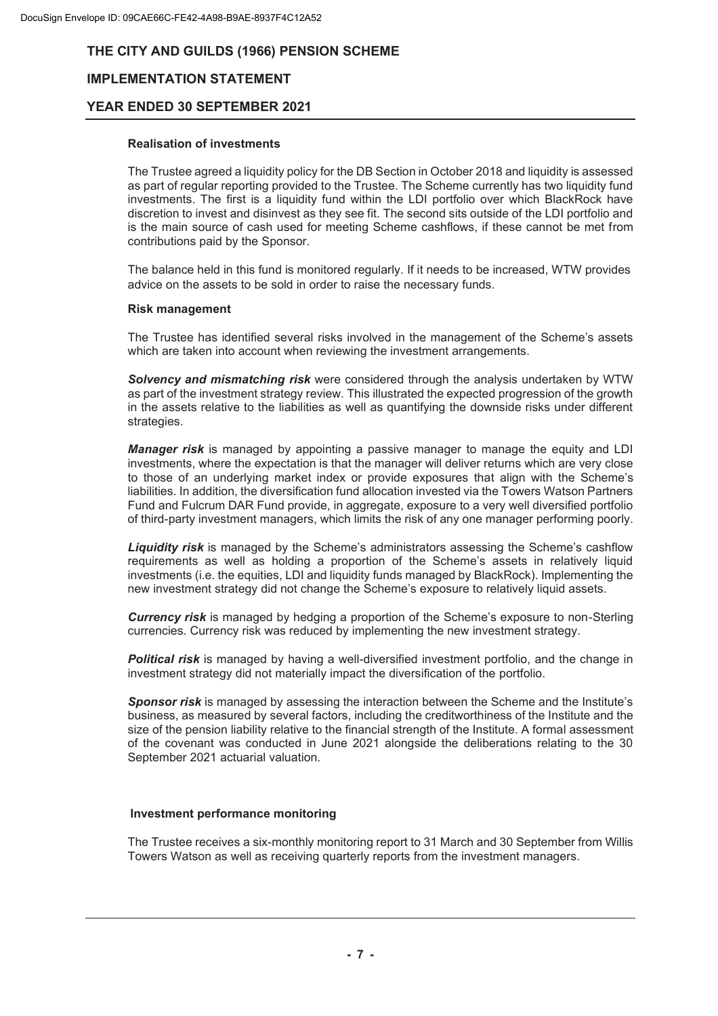## **IMPLEMENTATION STATEMENT**

### **YEAR ENDED 30 SEPTEMBER 2021**

#### **Realisation of investments**

The Trustee agreed a liquidity policy for the DB Section in October 2018 and liquidity is assessed as part of regular reporting provided to the Trustee. The Scheme currently has two liquidity fund investments. The first is a liquidity fund within the LDI portfolio over which BlackRock have discretion to invest and disinvest as they see fit. The second sits outside of the LDI portfolio and is the main source of cash used for meeting Scheme cashflows, if these cannot be met from contributions paid by the Sponsor.

The balance held in this fund is monitored regularly. If it needs to be increased, WTW provides advice on the assets to be sold in order to raise the necessary funds.

#### **Risk management**

The Trustee has identified several risks involved in the management of the Scheme's assets which are taken into account when reviewing the investment arrangements.

*Solvency and mismatching risk* were considered through the analysis undertaken by WTW as part of the investment strategy review. This illustrated the expected progression of the growth in the assets relative to the liabilities as well as quantifying the downside risks under different strategies.

*Manager risk* is managed by appointing a passive manager to manage the equity and LDI investments, where the expectation is that the manager will deliver returns which are very close to those of an underlying market index or provide exposures that align with the Scheme's liabilities. In addition, the diversification fund allocation invested via the Towers Watson Partners Fund and Fulcrum DAR Fund provide, in aggregate, exposure to a very well diversified portfolio of third-party investment managers, which limits the risk of any one manager performing poorly.

*Liquidity risk* is managed by the Scheme's administrators assessing the Scheme's cashflow requirements as well as holding a proportion of the Scheme's assets in relatively liquid investments (i.e. the equities, LDI and liquidity funds managed by BlackRock). Implementing the new investment strategy did not change the Scheme's exposure to relatively liquid assets.

*Currency risk* is managed by hedging a proportion of the Scheme's exposure to non-Sterling currencies. Currency risk was reduced by implementing the new investment strategy.

**Political risk** is managed by having a well-diversified investment portfolio, and the change in investment strategy did not materially impact the diversification of the portfolio.

**Sponsor risk** is managed by assessing the interaction between the Scheme and the Institute's business, as measured by several factors, including the creditworthiness of the Institute and the size of the pension liability relative to the financial strength of the Institute. A formal assessment of the covenant was conducted in June 2021 alongside the deliberations relating to the 30 September 2021 actuarial valuation.

#### **Investment performance monitoring**

The Trustee receives a six-monthly monitoring report to 31 March and 30 September from Willis Towers Watson as well as receiving quarterly reports from the investment managers.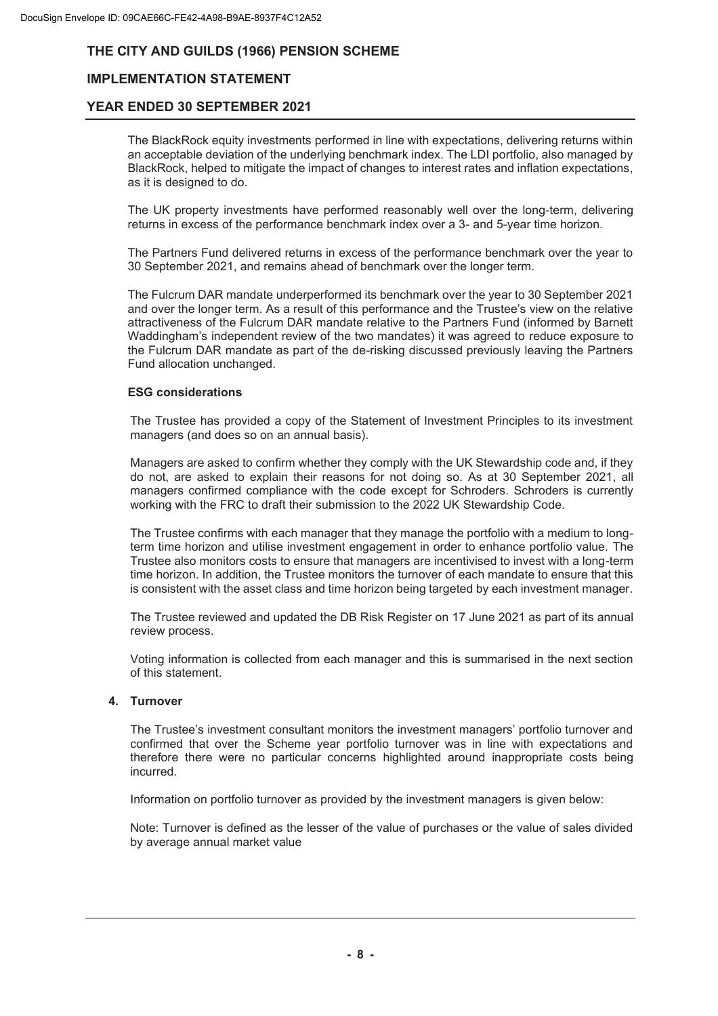## **IMPLEMENTATION STATEMENT**

### **YEAR ENDED 30 SEPTEMBER 2021**

The BlackRock equity investments performed in line with expectations, delivering returns within an acceptable deviation of the underlying benchmark index. The LDI portfolio, also managed by BlackRock, helped to mitigate the impact of changes to interest rates and inflation expectations, as it is designed to do.

The UK property investments have performed reasonably well over the long-term, delivering returns in excess of the performance benchmark index over a 3- and 5-year time horizon.

The Partners Fund delivered returns in excess of the performance benchmark over the year to 30 September 2021, and remains ahead of benchmark over the longer term.

The Fulcrum DAR mandate underperformed its benchmark over the year to 30 September 2021 and over the longer term. As a result of this performance and the Trustee's view on the relative attractiveness of the Fulcrum DAR mandate relative to the Partners Fund (informed by Barnett Waddingham's independent review of the two mandates) it was agreed to reduce exposure to the Fulcrum DAR mandate as part of the de-risking discussed previously leaving the Partners Fund allocation unchanged.

#### **ESG considerations**

The Trustee has provided a copy of the Statement of Investment Principles to its investment managers (and does so on an annual basis).

Managers are asked to confirm whether they comply with the UK Stewardship code and, if they do not, are asked to explain their reasons for not doing so. As at 30 September 2021, all managers confirmed compliance with the code except for Schroders. Schroders is currently working with the FRC to draft their submission to the 2022 UK Stewardship Code.

The Trustee confirms with each manager that they manage the portfolio with a medium to longterm time horizon and utilise investment engagement in order to enhance portfolio value. The Trustee also monitors costs to ensure that managers are incentivised to invest with a long-term time horizon. In addition, the Trustee monitors the turnover of each mandate to ensure that this is consistent with the asset class and time horizon being targeted by each investment manager.

The Trustee reviewed and updated the DB Risk Register on 17 June 2021 as part of its annual review process.

Voting information is collected from each manager and this is summarised in the next section of this statement.

#### **4. Turnover**

The Trustee's investment consultant monitors the investment managers' portfolio turnover and confirmed that over the Scheme year portfolio turnover was in line with expectations and therefore there were no particular concerns highlighted around inappropriate costs being incurred.

Information on portfolio turnover as provided by the investment managers is given below:

Note: Turnover is defined as the lesser of the value of purchases or the value of sales divided by average annual market value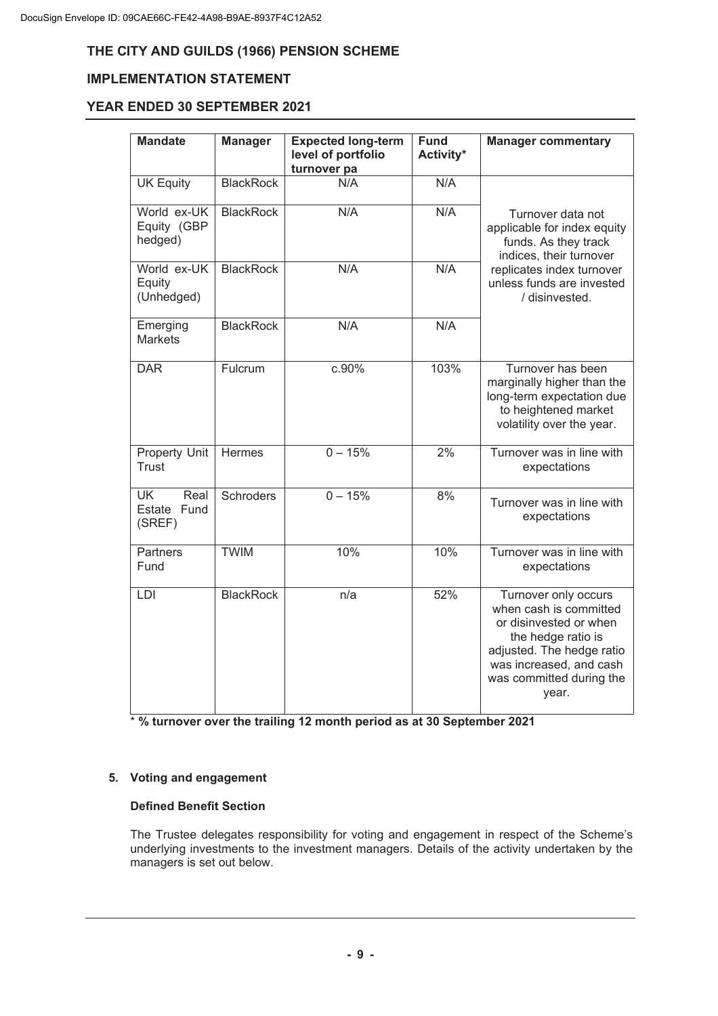## **IMPLEMENTATION STATEMENT**

## **YEAR ENDED 30 SEPTEMBER 2021**

| <b>Mandate</b>                             | <b>Manager</b>   | <b>Expected long-term</b><br>level of portfolio<br>turnover pa | <b>Fund</b><br>Activity* | <b>Manager commentary</b>                                                                                                                                                                   |
|--------------------------------------------|------------------|----------------------------------------------------------------|--------------------------|---------------------------------------------------------------------------------------------------------------------------------------------------------------------------------------------|
| <b>UK Equity</b>                           | <b>BlackRock</b> | N/A                                                            | N/A                      |                                                                                                                                                                                             |
| World ex-UK<br>Equity (GBP<br>hedged)      | <b>BlackRock</b> | N/A                                                            | N/A                      | Turnover data not<br>applicable for index equity<br>funds. As they track<br>indices, their turnover                                                                                         |
| World ex-UK<br>Equity<br>(Unhedged)        | <b>BlackRock</b> | N/A                                                            | N/A                      | replicates index turnover<br>unless funds are invested<br>/ disinvested.                                                                                                                    |
| Emerging<br><b>Markets</b>                 | <b>BlackRock</b> | N/A                                                            | N/A                      |                                                                                                                                                                                             |
| <b>DAR</b>                                 | Fulcrum          | c.90%                                                          | 103%                     | Turnover has been<br>marginally higher than the<br>long-term expectation due<br>to heightened market<br>volatility over the year.                                                           |
| Property Unit<br>Trust                     | Hermes           | $0 - 15%$                                                      | 2%                       | Turnover was in line with<br>expectations                                                                                                                                                   |
| <b>UK</b><br>Real<br>Estate Fund<br>(SREF) | <b>Schroders</b> | $0 - 15%$                                                      | 8%                       | Turnover was in line with<br>expectations                                                                                                                                                   |
| <b>Partners</b><br>Fund                    | <b>TWIM</b>      | 10%                                                            | 10%                      | Turnover was in line with<br>expectations                                                                                                                                                   |
| LDI                                        | <b>BlackRock</b> | n/a                                                            | 52%                      | Turnover only occurs<br>when cash is committed<br>or disinvested or when<br>the hedge ratio is<br>adjusted. The hedge ratio<br>was increased, and cash<br>was committed during the<br>year. |

\* **% turnover over the trailing 12 month period as at 30 September 2021**

#### **5. Voting and engagement**

#### **Defined Benefit Section**

The Trustee delegates responsibility for voting and engagement in respect of the Scheme's underlying investments to the investment managers. Details of the activity undertaken by the managers is set out below.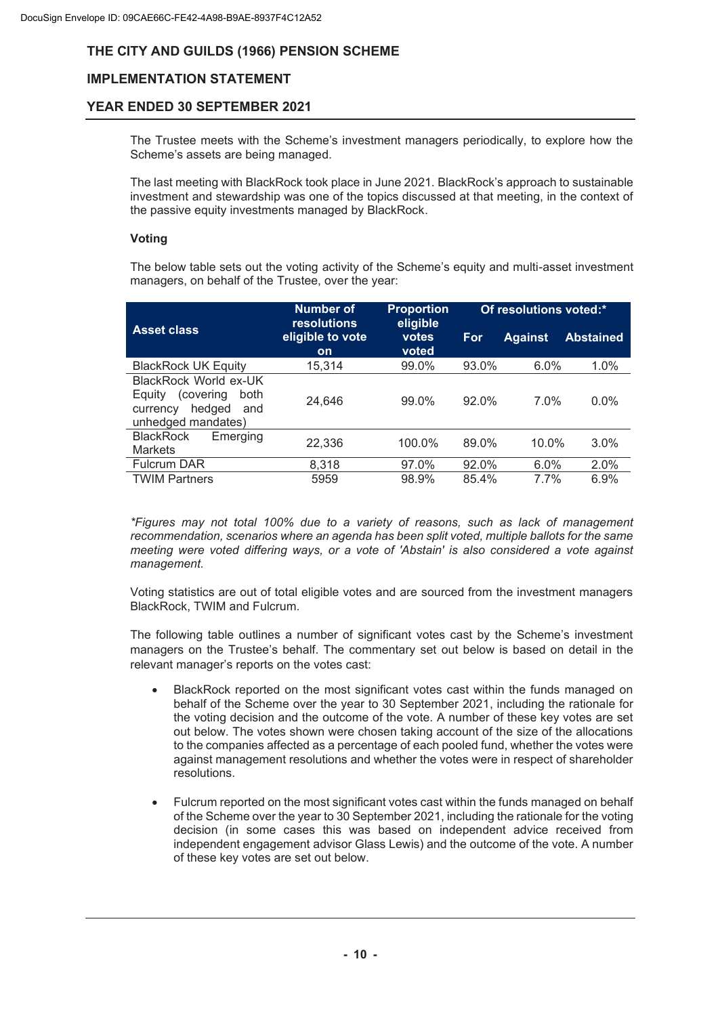## **IMPLEMENTATION STATEMENT**

## **YEAR ENDED 30 SEPTEMBER 2021**

The Trustee meets with the Scheme's investment managers periodically, to explore how the Scheme's assets are being managed.

The last meeting with BlackRock took place in June 2021. BlackRock's approach to sustainable investment and stewardship was one of the topics discussed at that meeting, in the context of the passive equity investments managed by BlackRock.

#### **Voting**

The below table sets out the voting activity of the Scheme's equity and multi-asset investment managers, on behalf of the Trustee, over the year:

|                                                                                                          | <b>Number of</b><br><b>Proportion</b><br>eligible<br><b>resolutions</b> |                | Of resolutions voted:* |                |                  |  |
|----------------------------------------------------------------------------------------------------------|-------------------------------------------------------------------------|----------------|------------------------|----------------|------------------|--|
| <b>Asset class</b>                                                                                       | eligible to vote<br>on                                                  | votes<br>voted | For                    | <b>Against</b> | <b>Abstained</b> |  |
| <b>BlackRock UK Equity</b>                                                                               | 15,314                                                                  | 99.0%          | 93.0%                  | 6.0%           | 1.0%             |  |
| BlackRock World ex-UK<br>(covering)<br>both<br>Eauity<br>hedged<br>and<br>currency<br>unhedged mandates) | 24.646                                                                  | 99.0%          | 92.0%                  | 7.0%           | $0.0\%$          |  |
| <b>BlackRock</b><br>Emerging<br><b>Markets</b>                                                           | 22,336                                                                  | 100.0%         | 89.0%                  | 10.0%          | 3.0%             |  |
| <b>Fulcrum DAR</b>                                                                                       | 8.318                                                                   | 97.0%          | $92.0\%$               | 6.0%           | 2.0%             |  |
| <b>TWIM Partners</b>                                                                                     | 5959                                                                    | 98.9%          | 85.4%                  | 7.7%           | 6.9%             |  |

*\*Figures may not total 100% due to a variety of reasons, such as lack of management recommendation, scenarios where an agenda has been split voted, multiple ballots for the same meeting were voted differing ways, or a vote of 'Abstain' is also considered a vote against management.* 

Voting statistics are out of total eligible votes and are sourced from the investment managers BlackRock, TWIM and Fulcrum.

The following table outlines a number of significant votes cast by the Scheme's investment managers on the Trustee's behalf. The commentary set out below is based on detail in the relevant manager's reports on the votes cast:

- BlackRock reported on the most significant votes cast within the funds managed on behalf of the Scheme over the year to 30 September 2021, including the rationale for the voting decision and the outcome of the vote. A number of these key votes are set out below. The votes shown were chosen taking account of the size of the allocations to the companies affected as a percentage of each pooled fund, whether the votes were against management resolutions and whether the votes were in respect of shareholder resolutions.
- · Fulcrum reported on the most significant votes cast within the funds managed on behalf of the Scheme over the year to 30 September 2021, including the rationale for the voting decision (in some cases this was based on independent advice received from independent engagement advisor Glass Lewis) and the outcome of the vote. A number of these key votes are set out below.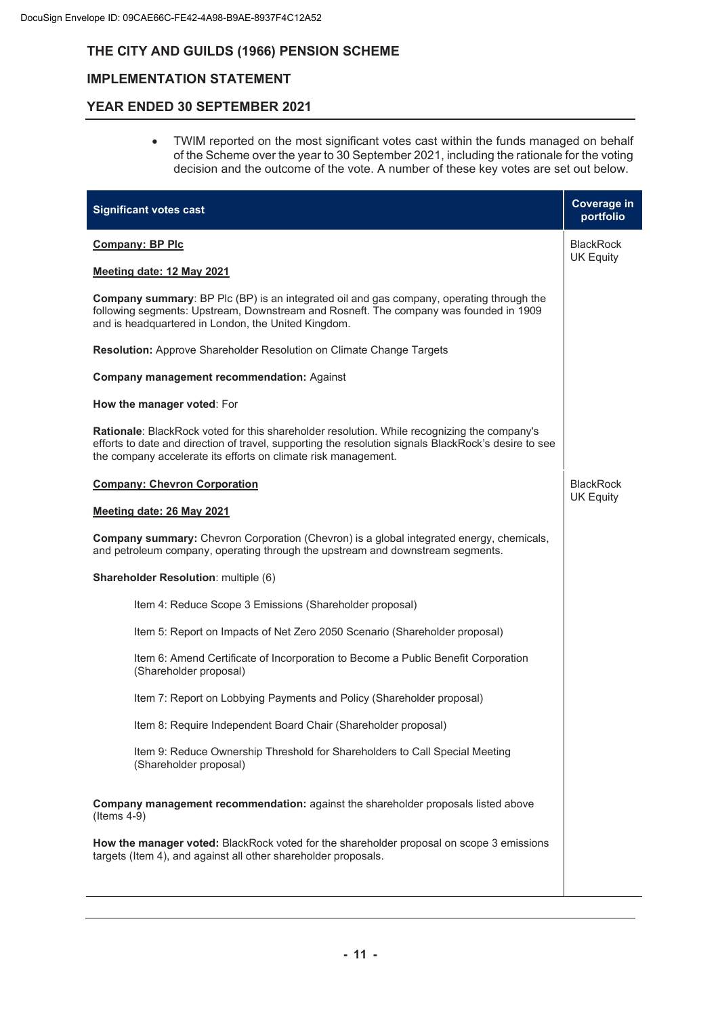## **IMPLEMENTATION STATEMENT**

## **YEAR ENDED 30 SEPTEMBER 2021**

· TWIM reported on the most significant votes cast within the funds managed on behalf of the Scheme over the year to 30 September 2021, including the rationale for the voting decision and the outcome of the vote. A number of these key votes are set out below.

| <b>Significant votes cast</b>                                                                                                                                                                                                                                                | <b>Coverage in</b><br>portfolio      |  |  |
|------------------------------------------------------------------------------------------------------------------------------------------------------------------------------------------------------------------------------------------------------------------------------|--------------------------------------|--|--|
| <b>Company: BP Plc</b>                                                                                                                                                                                                                                                       | <b>BlackRock</b><br><b>UK Equity</b> |  |  |
| Meeting date: 12 May 2021                                                                                                                                                                                                                                                    |                                      |  |  |
| <b>Company summary:</b> BP Plc (BP) is an integrated oil and gas company, operating through the<br>following segments: Upstream, Downstream and Rosneft. The company was founded in 1909<br>and is headquartered in London, the United Kingdom.                              |                                      |  |  |
| <b>Resolution:</b> Approve Shareholder Resolution on Climate Change Targets                                                                                                                                                                                                  |                                      |  |  |
| Company management recommendation: Against                                                                                                                                                                                                                                   |                                      |  |  |
| How the manager voted: For                                                                                                                                                                                                                                                   |                                      |  |  |
| <b>Rationale:</b> BlackRock voted for this shareholder resolution. While recognizing the company's<br>efforts to date and direction of travel, supporting the resolution signals BlackRock's desire to see<br>the company accelerate its efforts on climate risk management. |                                      |  |  |
| <b>Company: Chevron Corporation</b>                                                                                                                                                                                                                                          | <b>BlackRock</b>                     |  |  |
| Meeting date: 26 May 2021                                                                                                                                                                                                                                                    | <b>UK Equity</b>                     |  |  |
| <b>Company summary:</b> Chevron Corporation (Chevron) is a global integrated energy, chemicals,<br>and petroleum company, operating through the upstream and downstream segments.                                                                                            |                                      |  |  |
| Shareholder Resolution: multiple (6)                                                                                                                                                                                                                                         |                                      |  |  |
| Item 4: Reduce Scope 3 Emissions (Shareholder proposal)                                                                                                                                                                                                                      |                                      |  |  |
| Item 5: Report on Impacts of Net Zero 2050 Scenario (Shareholder proposal)                                                                                                                                                                                                   |                                      |  |  |
| Item 6: Amend Certificate of Incorporation to Become a Public Benefit Corporation<br>(Shareholder proposal)                                                                                                                                                                  |                                      |  |  |
| Item 7: Report on Lobbying Payments and Policy (Shareholder proposal)                                                                                                                                                                                                        |                                      |  |  |
| Item 8: Require Independent Board Chair (Shareholder proposal)                                                                                                                                                                                                               |                                      |  |  |
| Item 9: Reduce Ownership Threshold for Shareholders to Call Special Meeting<br>(Shareholder proposal)                                                                                                                                                                        |                                      |  |  |
| Company management recommendation: against the shareholder proposals listed above<br>$($ ltems 4-9 $)$                                                                                                                                                                       |                                      |  |  |
| How the manager voted: BlackRock voted for the shareholder proposal on scope 3 emissions<br>targets (Item 4), and against all other shareholder proposals.                                                                                                                   |                                      |  |  |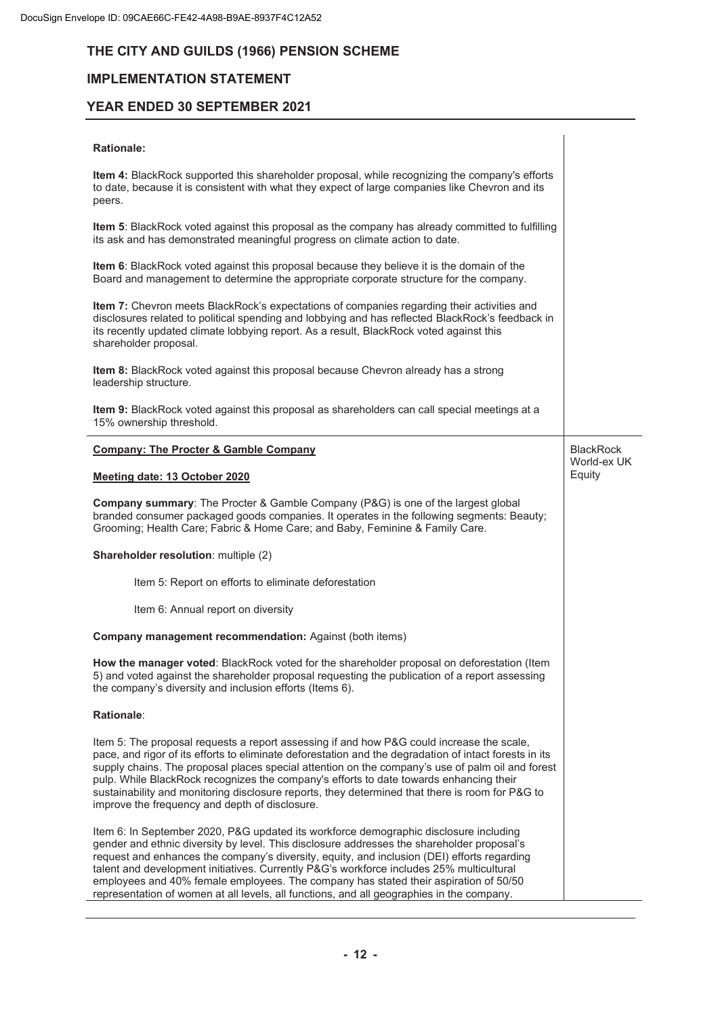## **IMPLEMENTATION STATEMENT**

## **YEAR ENDED 30 SEPTEMBER 2021**

#### **Rationale:**

| Item 4: BlackRock supported this shareholder proposal, while recognizing the company's efforts<br>to date, because it is consistent with what they expect of large companies like Chevron and its<br>peers.<br>Item 5: BlackRock voted against this proposal as the company has already committed to fulfilling<br>its ask and has demonstrated meaningful progress on climate action to date.<br>Item 6: BlackRock voted against this proposal because they believe it is the domain of the<br>Board and management to determine the appropriate corporate structure for the company.<br>Item 7: Chevron meets BlackRock's expectations of companies regarding their activities and<br>disclosures related to political spending and lobbying and has reflected BlackRock's feedback in<br>its recently updated climate lobbying report. As a result, BlackRock voted against this<br>shareholder proposal.<br>Item 8: BlackRock voted against this proposal because Chevron already has a strong<br>leadership structure.<br>Item 9: BlackRock voted against this proposal as shareholders can call special meetings at a |                                 |
|-----------------------------------------------------------------------------------------------------------------------------------------------------------------------------------------------------------------------------------------------------------------------------------------------------------------------------------------------------------------------------------------------------------------------------------------------------------------------------------------------------------------------------------------------------------------------------------------------------------------------------------------------------------------------------------------------------------------------------------------------------------------------------------------------------------------------------------------------------------------------------------------------------------------------------------------------------------------------------------------------------------------------------------------------------------------------------------------------------------------------------|---------------------------------|
| 15% ownership threshold.                                                                                                                                                                                                                                                                                                                                                                                                                                                                                                                                                                                                                                                                                                                                                                                                                                                                                                                                                                                                                                                                                                    |                                 |
| <b>Company: The Procter &amp; Gamble Company</b>                                                                                                                                                                                                                                                                                                                                                                                                                                                                                                                                                                                                                                                                                                                                                                                                                                                                                                                                                                                                                                                                            | <b>BlackRock</b><br>World-ex UK |
| Meeting date: 13 October 2020                                                                                                                                                                                                                                                                                                                                                                                                                                                                                                                                                                                                                                                                                                                                                                                                                                                                                                                                                                                                                                                                                               | Equity                          |
| Company summary: The Procter & Gamble Company (P&G) is one of the largest global<br>branded consumer packaged goods companies. It operates in the following segments: Beauty;<br>Grooming; Health Care; Fabric & Home Care; and Baby, Feminine & Family Care.                                                                                                                                                                                                                                                                                                                                                                                                                                                                                                                                                                                                                                                                                                                                                                                                                                                               |                                 |
| Shareholder resolution: multiple (2)                                                                                                                                                                                                                                                                                                                                                                                                                                                                                                                                                                                                                                                                                                                                                                                                                                                                                                                                                                                                                                                                                        |                                 |
| Item 5: Report on efforts to eliminate deforestation                                                                                                                                                                                                                                                                                                                                                                                                                                                                                                                                                                                                                                                                                                                                                                                                                                                                                                                                                                                                                                                                        |                                 |
| Item 6: Annual report on diversity                                                                                                                                                                                                                                                                                                                                                                                                                                                                                                                                                                                                                                                                                                                                                                                                                                                                                                                                                                                                                                                                                          |                                 |
| Company management recommendation: Against (both items)                                                                                                                                                                                                                                                                                                                                                                                                                                                                                                                                                                                                                                                                                                                                                                                                                                                                                                                                                                                                                                                                     |                                 |
| How the manager voted: BlackRock voted for the shareholder proposal on deforestation (Item<br>5) and voted against the shareholder proposal requesting the publication of a report assessing<br>the company's diversity and inclusion efforts (Items 6).                                                                                                                                                                                                                                                                                                                                                                                                                                                                                                                                                                                                                                                                                                                                                                                                                                                                    |                                 |
| Rationale:                                                                                                                                                                                                                                                                                                                                                                                                                                                                                                                                                                                                                                                                                                                                                                                                                                                                                                                                                                                                                                                                                                                  |                                 |
| Item 5: The proposal requests a report assessing if and how P&G could increase the scale,<br>pace, and rigor of its efforts to eliminate deforestation and the degradation of intact forests in its<br>supply chains. The proposal places special attention on the company's use of palm oil and forest<br>pulp. While BlackRock recognizes the company's efforts to date towards enhancing their<br>sustainability and monitoring disclosure reports, they determined that there is room for P&G to<br>improve the frequency and depth of disclosure.                                                                                                                                                                                                                                                                                                                                                                                                                                                                                                                                                                      |                                 |
| Item 6: In September 2020, P&G updated its workforce demographic disclosure including<br>gender and ethnic diversity by level. This disclosure addresses the shareholder proposal's<br>request and enhances the company's diversity, equity, and inclusion (DEI) efforts regarding<br>talent and development initiatives. Currently P&G's workforce includes 25% multicultural<br>employees and 40% female employees. The company has stated their aspiration of 50/50<br>representation of women at all levels, all functions, and all geographies in the company.                                                                                                                                                                                                                                                                                                                                                                                                                                                                                                                                                         |                                 |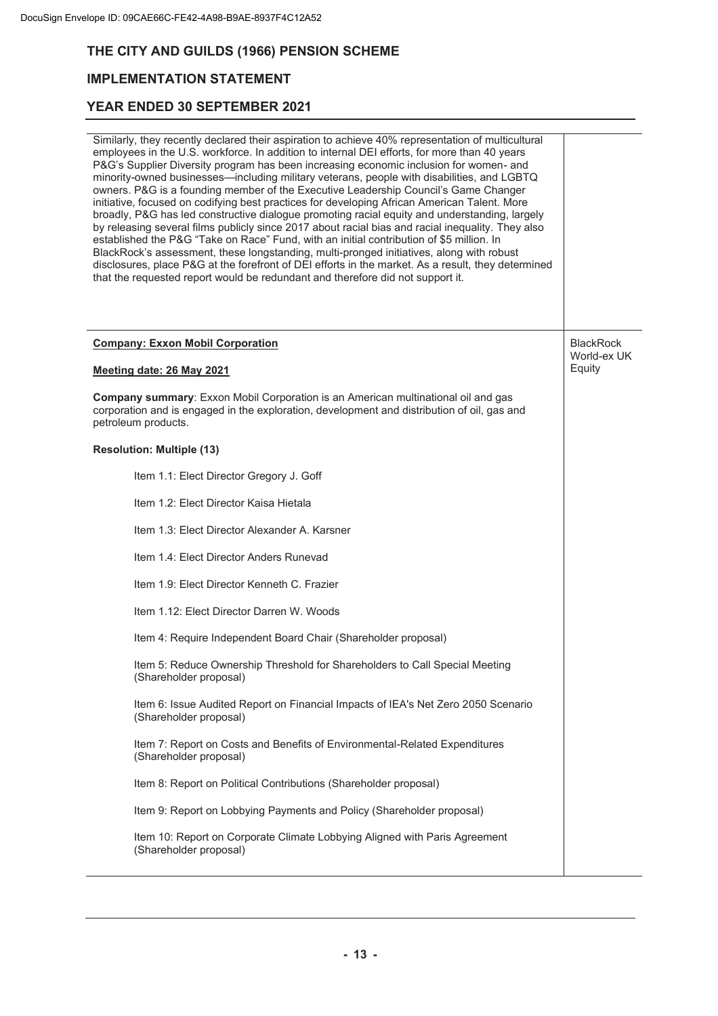## **IMPLEMENTATION STATEMENT**

| Similarly, they recently declared their aspiration to achieve 40% representation of multicultural<br>employees in the U.S. workforce. In addition to internal DEI efforts, for more than 40 years<br>P&G's Supplier Diversity program has been increasing economic inclusion for women- and<br>minority-owned businesses-including military veterans, people with disabilities, and LGBTQ<br>owners. P&G is a founding member of the Executive Leadership Council's Game Changer<br>initiative, focused on codifying best practices for developing African American Talent. More<br>broadly, P&G has led constructive dialogue promoting racial equity and understanding, largely<br>by releasing several films publicly since 2017 about racial bias and racial inequality. They also<br>established the P&G "Take on Race" Fund, with an initial contribution of \$5 million. In<br>BlackRock's assessment, these longstanding, multi-pronged initiatives, along with robust<br>disclosures, place P&G at the forefront of DEI efforts in the market. As a result, they determined<br>that the requested report would be redundant and therefore did not support it. |                       |
|------------------------------------------------------------------------------------------------------------------------------------------------------------------------------------------------------------------------------------------------------------------------------------------------------------------------------------------------------------------------------------------------------------------------------------------------------------------------------------------------------------------------------------------------------------------------------------------------------------------------------------------------------------------------------------------------------------------------------------------------------------------------------------------------------------------------------------------------------------------------------------------------------------------------------------------------------------------------------------------------------------------------------------------------------------------------------------------------------------------------------------------------------------------------|-----------------------|
| <b>Company: Exxon Mobil Corporation</b>                                                                                                                                                                                                                                                                                                                                                                                                                                                                                                                                                                                                                                                                                                                                                                                                                                                                                                                                                                                                                                                                                                                                | <b>BlackRock</b>      |
| Meeting date: 26 May 2021                                                                                                                                                                                                                                                                                                                                                                                                                                                                                                                                                                                                                                                                                                                                                                                                                                                                                                                                                                                                                                                                                                                                              | World-ex UK<br>Equity |
| Company summary: Exxon Mobil Corporation is an American multinational oil and gas<br>corporation and is engaged in the exploration, development and distribution of oil, gas and<br>petroleum products.                                                                                                                                                                                                                                                                                                                                                                                                                                                                                                                                                                                                                                                                                                                                                                                                                                                                                                                                                                |                       |
| <b>Resolution: Multiple (13)</b>                                                                                                                                                                                                                                                                                                                                                                                                                                                                                                                                                                                                                                                                                                                                                                                                                                                                                                                                                                                                                                                                                                                                       |                       |
| Item 1.1: Elect Director Gregory J. Goff                                                                                                                                                                                                                                                                                                                                                                                                                                                                                                                                                                                                                                                                                                                                                                                                                                                                                                                                                                                                                                                                                                                               |                       |
| Item 1.2: Elect Director Kaisa Hietala                                                                                                                                                                                                                                                                                                                                                                                                                                                                                                                                                                                                                                                                                                                                                                                                                                                                                                                                                                                                                                                                                                                                 |                       |
| Item 1.3: Elect Director Alexander A. Karsner                                                                                                                                                                                                                                                                                                                                                                                                                                                                                                                                                                                                                                                                                                                                                                                                                                                                                                                                                                                                                                                                                                                          |                       |
| Item 1.4: Elect Director Anders Runevad                                                                                                                                                                                                                                                                                                                                                                                                                                                                                                                                                                                                                                                                                                                                                                                                                                                                                                                                                                                                                                                                                                                                |                       |
| Item 1.9: Elect Director Kenneth C. Frazier                                                                                                                                                                                                                                                                                                                                                                                                                                                                                                                                                                                                                                                                                                                                                                                                                                                                                                                                                                                                                                                                                                                            |                       |
| Item 1.12: Elect Director Darren W. Woods                                                                                                                                                                                                                                                                                                                                                                                                                                                                                                                                                                                                                                                                                                                                                                                                                                                                                                                                                                                                                                                                                                                              |                       |
| Item 4: Require Independent Board Chair (Shareholder proposal)                                                                                                                                                                                                                                                                                                                                                                                                                                                                                                                                                                                                                                                                                                                                                                                                                                                                                                                                                                                                                                                                                                         |                       |
| Item 5: Reduce Ownership Threshold for Shareholders to Call Special Meeting<br>(Shareholder proposal)                                                                                                                                                                                                                                                                                                                                                                                                                                                                                                                                                                                                                                                                                                                                                                                                                                                                                                                                                                                                                                                                  |                       |
| Item 6: Issue Audited Report on Financial Impacts of IEA's Net Zero 2050 Scenario<br>(Shareholder proposal)                                                                                                                                                                                                                                                                                                                                                                                                                                                                                                                                                                                                                                                                                                                                                                                                                                                                                                                                                                                                                                                            |                       |
| Item 7: Report on Costs and Benefits of Environmental-Related Expenditures<br>(Shareholder proposal)                                                                                                                                                                                                                                                                                                                                                                                                                                                                                                                                                                                                                                                                                                                                                                                                                                                                                                                                                                                                                                                                   |                       |
| Item 8: Report on Political Contributions (Shareholder proposal)                                                                                                                                                                                                                                                                                                                                                                                                                                                                                                                                                                                                                                                                                                                                                                                                                                                                                                                                                                                                                                                                                                       |                       |
| Item 9: Report on Lobbying Payments and Policy (Shareholder proposal)                                                                                                                                                                                                                                                                                                                                                                                                                                                                                                                                                                                                                                                                                                                                                                                                                                                                                                                                                                                                                                                                                                  |                       |
| Item 10: Report on Corporate Climate Lobbying Aligned with Paris Agreement<br>(Shareholder proposal)                                                                                                                                                                                                                                                                                                                                                                                                                                                                                                                                                                                                                                                                                                                                                                                                                                                                                                                                                                                                                                                                   |                       |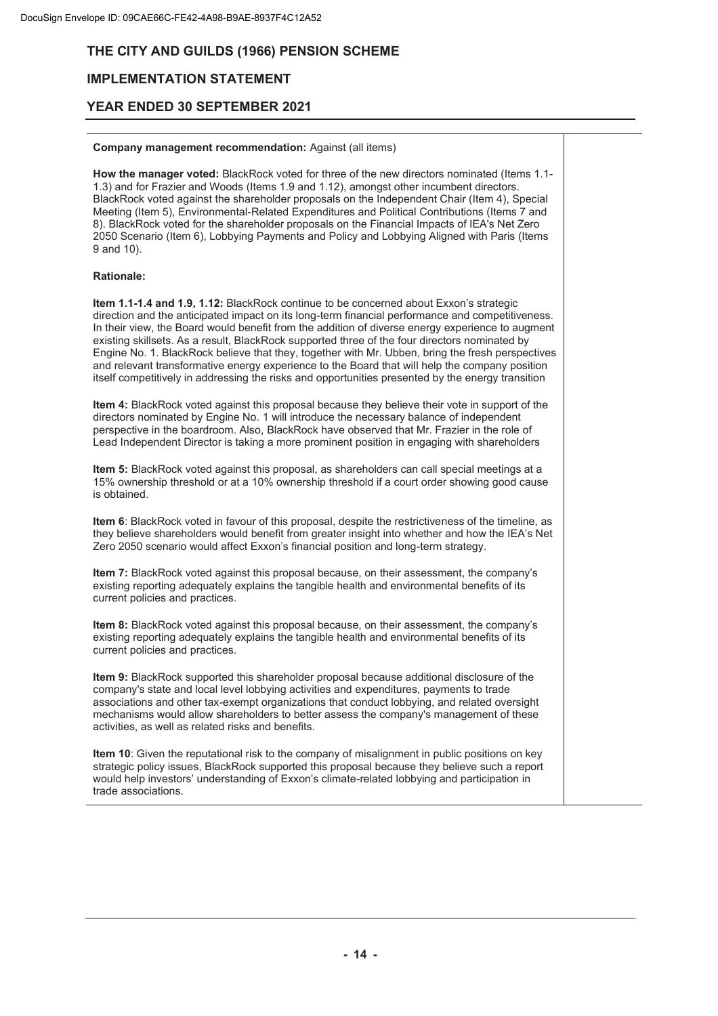## **IMPLEMENTATION STATEMENT**

## **YEAR ENDED 30 SEPTEMBER 2021**

#### **Company management recommendation:** Against (all items)

How the manager voted: BlackRock voted for three of the new directors nominated (Items 1.1-1.3) and for Frazier and Woods (Items 1.9 and 1.12), amongst other incumbent directors. BlackRock voted against the shareholder proposals on the Independent Chair (Item 4), Special Meeting (Item 5), Environmental-Related Expenditures and Political Contributions (Items 7 and 8). BlackRock voted for the shareholder proposals on the Financial Impacts of IEA's Net Zero 2050 Scenario (Item 6), Lobbying Payments and Policy and Lobbying Aligned with Paris (Items 9 and 10).

#### **Rationale:**

**Item 1.1-1.4 and 1.9, 1.12:** BlackRock continue to be concerned about Exxon's strategic direction and the anticipated impact on its long-term financial performance and competitiveness. In their view, the Board would benefit from the addition of diverse energy experience to augment existing skillsets. As a result, BlackRock supported three of the four directors nominated by Engine No. 1. BlackRock believe that they, together with Mr. Ubben, bring the fresh perspectives and relevant transformative energy experience to the Board that will help the company position itself competitively in addressing the risks and opportunities presented by the energy transition

**Item 4:** BlackRock voted against this proposal because they believe their vote in support of the directors nominated by Engine No. 1 will introduce the necessary balance of independent perspective in the boardroom. Also, BlackRock have observed that Mr. Frazier in the role of Lead Independent Director is taking a more prominent position in engaging with shareholders

**Item 5:** BlackRock voted against this proposal, as shareholders can call special meetings at a 15% ownership threshold or at a 10% ownership threshold if a court order showing good cause is obtained.

**Item 6**: BlackRock voted in favour of this proposal, despite the restrictiveness of the timeline, as they believe shareholders would benefit from greater insight into whether and how the IEA's Net Zero 2050 scenario would affect Exxon's financial position and long-term strategy.

**Item 7:** BlackRock voted against this proposal because, on their assessment, the company's existing reporting adequately explains the tangible health and environmental benefits of its current policies and practices.

**Item 8:** BlackRock voted against this proposal because, on their assessment, the company's existing reporting adequately explains the tangible health and environmental benefits of its current policies and practices.

**Item 9:** BlackRock supported this shareholder proposal because additional disclosure of the company's state and local level lobbying activities and expenditures, payments to trade associations and other tax-exempt organizations that conduct lobbying, and related oversight mechanisms would allow shareholders to better assess the company's management of these activities, as well as related risks and benefits.

**Item 10**: Given the reputational risk to the company of misalignment in public positions on key strategic policy issues, BlackRock supported this proposal because they believe such a report would help investors' understanding of Exxon's climate-related lobbying and participation in trade associations.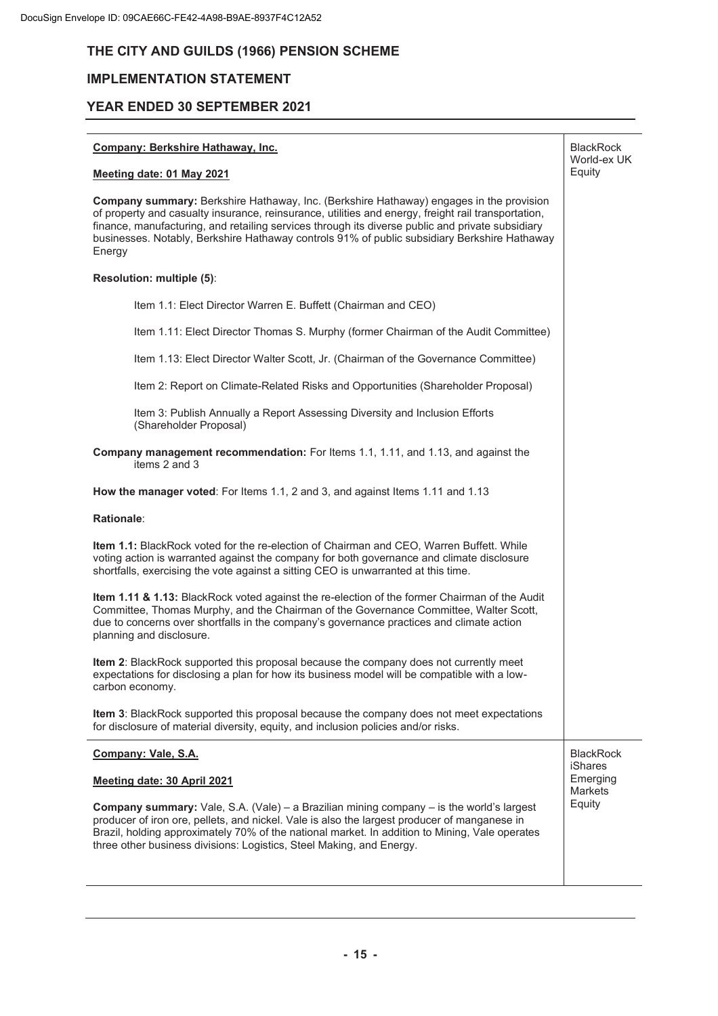## **IMPLEMENTATION STATEMENT**

### **YEAR ENDED 30 SEPTEMBER 2021**

#### **Company: Berkshire Hathaway, Inc.**

#### **Meeting date: 01 May 2021**

**Company summary:** Berkshire Hathaway, Inc. (Berkshire Hathaway) engages in the provision of property and casualty insurance, reinsurance, utilities and energy, freight rail transportation, finance, manufacturing, and retailing services through its diverse public and private subsidiary businesses. Notably, Berkshire Hathaway controls 91% of public subsidiary Berkshire Hathaway **Energy** 

**BlackRock** World-ex UK Equity

BlackRock iShares Emerging **Markets Equity** 

#### **Resolution: multiple (5)**:

Item 1.1: Elect Director Warren E. Buffett (Chairman and CEO)

Item 1.11: Elect Director Thomas S. Murphy (former Chairman of the Audit Committee)

Item 1.13: Elect Director Walter Scott, Jr. (Chairman of the Governance Committee)

Item 2: Report on Climate-Related Risks and Opportunities (Shareholder Proposal)

Item 3: Publish Annually a Report Assessing Diversity and Inclusion Efforts (Shareholder Proposal)

**Company management recommendation:** For Items 1.1, 1.11, and 1.13, and against the items 2 and 3

**How the manager voted**: For Items 1.1, 2 and 3, and against Items 1.11 and 1.13

#### **Rationale**:

**Item 1.1:** BlackRock voted for the re-election of Chairman and CEO, Warren Buffett. While voting action is warranted against the company for both governance and climate disclosure shortfalls, exercising the vote against a sitting CEO is unwarranted at this time.

**Item 1.11 & 1.13:** BlackRock voted against the re-election of the former Chairman of the Audit Committee, Thomas Murphy, and the Chairman of the Governance Committee, Walter Scott, due to concerns over shortfalls in the company's governance practices and climate action planning and disclosure.

**Item 2**: BlackRock supported this proposal because the company does not currently meet expectations for disclosing a plan for how its business model will be compatible with a lowcarbon economy.

**Item 3**: BlackRock supported this proposal because the company does not meet expectations for disclosure of material diversity, equity, and inclusion policies and/or risks.

#### **Company: Vale, S.A.**

#### **Meeting date: 30 April 2021**

**Company summary:** Vale, S.A. (Vale) – a Brazilian mining company – is the world's largest producer of iron ore, pellets, and nickel. Vale is also the largest producer of manganese in Brazil, holding approximately 70% of the national market. In addition to Mining, Vale operates three other business divisions: Logistics, Steel Making, and Energy.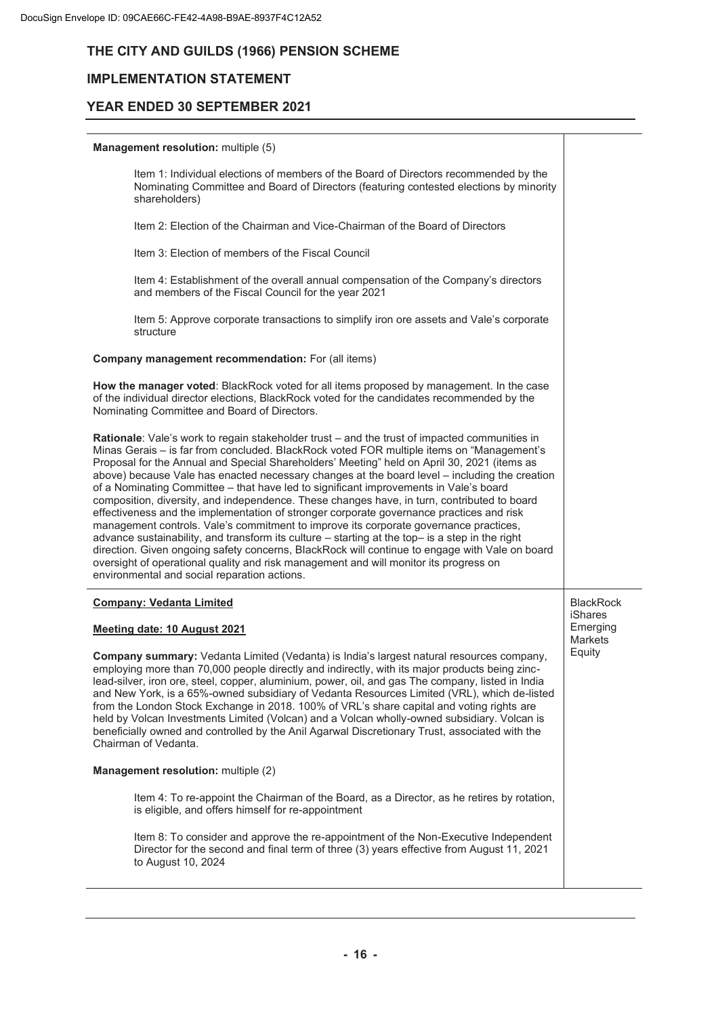## **IMPLEMENTATION STATEMENT**

## **YEAR ENDED 30 SEPTEMBER 2021**

#### **Management resolution:** multiple (5)

Item 1: Individual elections of members of the Board of Directors recommended by the Nominating Committee and Board of Directors (featuring contested elections by minority shareholders) Item 2: Election of the Chairman and Vice-Chairman of the Board of Directors Item 3: Election of members of the Fiscal Council Item 4: Establishment of the overall annual compensation of the Company's directors and members of the Fiscal Council for the year 2021 Item 5: Approve corporate transactions to simplify iron ore assets and Vale's corporate structure **Company management recommendation:** For (all items) **How the manager voted**: BlackRock voted for all items proposed by management. In the case of the individual director elections, BlackRock voted for the candidates recommended by the Nominating Committee and Board of Directors. **Rationale**: Vale's work to regain stakeholder trust – and the trust of impacted communities in Minas Gerais – is far from concluded. BIackRock voted FOR multiple items on "Management's Proposal for the Annual and Special Shareholders' Meeting" held on April 30, 2021 (items as above) because Vale has enacted necessary changes at the board level – including the creation of a Nominating Committee – that have led to significant improvements in Vale's board composition, diversity, and independence. These changes have, in turn, contributed to board effectiveness and the implementation of stronger corporate governance practices and risk management controls. Vale's commitment to improve its corporate governance practices, advance sustainability, and transform its culture – starting at the top– is a step in the right direction. Given ongoing safety concerns, BIackRock will continue to engage with Vale on board oversight of operational quality and risk management and will monitor its progress on environmental and social reparation actions. **Company: Vedanta Limited Meeting date: 10 August 2021 Company summary:** Vedanta Limited (Vedanta) is India's largest natural resources company, employing more than 70,000 people directly and indirectly, with its major products being zinclead-silver, iron ore, steel, copper, aluminium, power, oil, and gas The company, listed in India and New York, is a 65%-owned subsidiary of Vedanta Resources Limited (VRL), which de-listed from the London Stock Exchange in 2018. 100% of VRL's share capital and voting rights are held by Volcan Investments Limited (Volcan) and a Volcan wholly-owned subsidiary. Volcan is beneficially owned and controlled by the Anil Agarwal Discretionary Trust, associated with the Chairman of Vedanta. **Management resolution:** multiple (2) Item 4: To re-appoint the Chairman of the Board, as a Director, as he retires by rotation, is eligible, and offers himself for re-appointment Item 8: To consider and approve the re-appointment of the Non-Executive Independent Director for the second and final term of three (3) years effective from August 11, 2021 to August 10, 2024 **BlackRock** iShares Emerging **Markets** Equity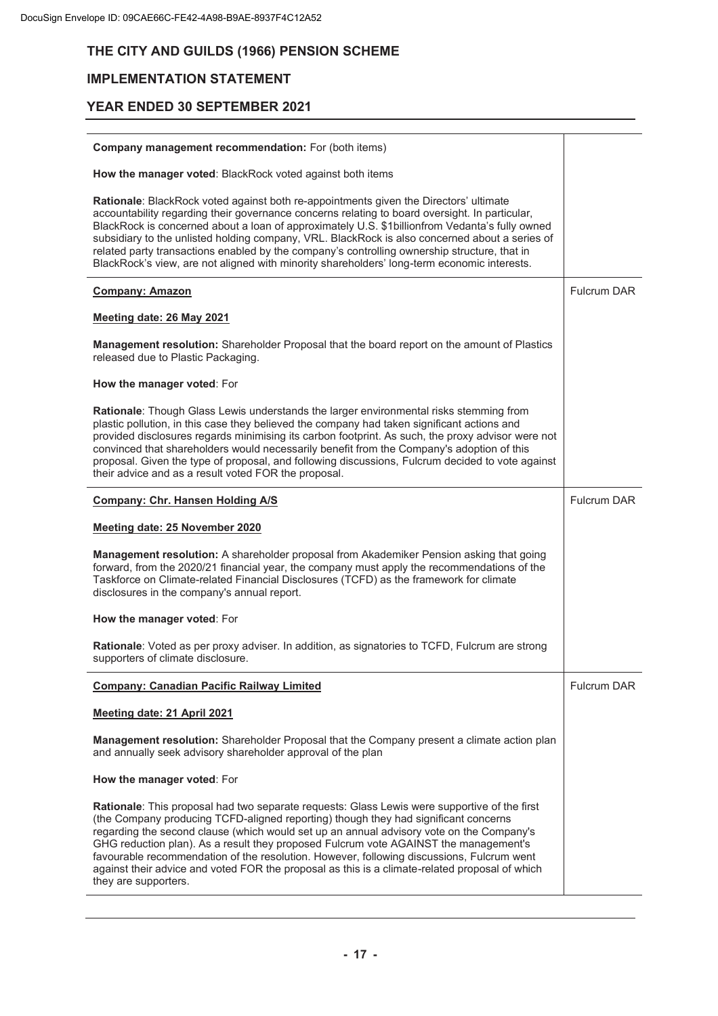## **IMPLEMENTATION STATEMENT**

| Company management recommendation: For (both items)                                                                                                                                                                                                                                                                                                                                                                                                                                                                                                                                        |                    |
|--------------------------------------------------------------------------------------------------------------------------------------------------------------------------------------------------------------------------------------------------------------------------------------------------------------------------------------------------------------------------------------------------------------------------------------------------------------------------------------------------------------------------------------------------------------------------------------------|--------------------|
| How the manager voted: BlackRock voted against both items                                                                                                                                                                                                                                                                                                                                                                                                                                                                                                                                  |                    |
| Rationale: BlackRock voted against both re-appointments given the Directors' ultimate<br>accountability regarding their governance concerns relating to board oversight. In particular,<br>BlackRock is concerned about a loan of approximately U.S. \$1billionfrom Vedanta's fully owned<br>subsidiary to the unlisted holding company, VRL. BlackRock is also concerned about a series of<br>related party transactions enabled by the company's controlling ownership structure, that in<br>BlackRock's view, are not aligned with minority shareholders' long-term economic interests. |                    |
| <b>Company: Amazon</b>                                                                                                                                                                                                                                                                                                                                                                                                                                                                                                                                                                     | <b>Fulcrum DAR</b> |
| Meeting date: 26 May 2021                                                                                                                                                                                                                                                                                                                                                                                                                                                                                                                                                                  |                    |
| Management resolution: Shareholder Proposal that the board report on the amount of Plastics<br>released due to Plastic Packaging.                                                                                                                                                                                                                                                                                                                                                                                                                                                          |                    |
| How the manager voted: For                                                                                                                                                                                                                                                                                                                                                                                                                                                                                                                                                                 |                    |
| Rationale: Though Glass Lewis understands the larger environmental risks stemming from<br>plastic pollution, in this case they believed the company had taken significant actions and<br>provided disclosures regards minimising its carbon footprint. As such, the proxy advisor were not<br>convinced that shareholders would necessarily benefit from the Company's adoption of this<br>proposal. Given the type of proposal, and following discussions, Fulcrum decided to vote against<br>their advice and as a result voted FOR the proposal.                                        |                    |
| <b>Company: Chr. Hansen Holding A/S</b>                                                                                                                                                                                                                                                                                                                                                                                                                                                                                                                                                    | <b>Fulcrum DAR</b> |
| Meeting date: 25 November 2020                                                                                                                                                                                                                                                                                                                                                                                                                                                                                                                                                             |                    |
| Management resolution: A shareholder proposal from Akademiker Pension asking that going<br>forward, from the 2020/21 financial year, the company must apply the recommendations of the<br>Taskforce on Climate-related Financial Disclosures (TCFD) as the framework for climate<br>disclosures in the company's annual report.                                                                                                                                                                                                                                                            |                    |
|                                                                                                                                                                                                                                                                                                                                                                                                                                                                                                                                                                                            |                    |
| How the manager voted: For                                                                                                                                                                                                                                                                                                                                                                                                                                                                                                                                                                 |                    |
| Rationale: Voted as per proxy adviser. In addition, as signatories to TCFD, Fulcrum are strong<br>supporters of climate disclosure.                                                                                                                                                                                                                                                                                                                                                                                                                                                        |                    |
| <b>Company: Canadian Pacific Railway Limited</b>                                                                                                                                                                                                                                                                                                                                                                                                                                                                                                                                           | <b>Fulcrum DAR</b> |
| Meeting date: 21 April 2021                                                                                                                                                                                                                                                                                                                                                                                                                                                                                                                                                                |                    |
| Management resolution: Shareholder Proposal that the Company present a climate action plan<br>and annually seek advisory shareholder approval of the plan                                                                                                                                                                                                                                                                                                                                                                                                                                  |                    |
| How the manager voted: For                                                                                                                                                                                                                                                                                                                                                                                                                                                                                                                                                                 |                    |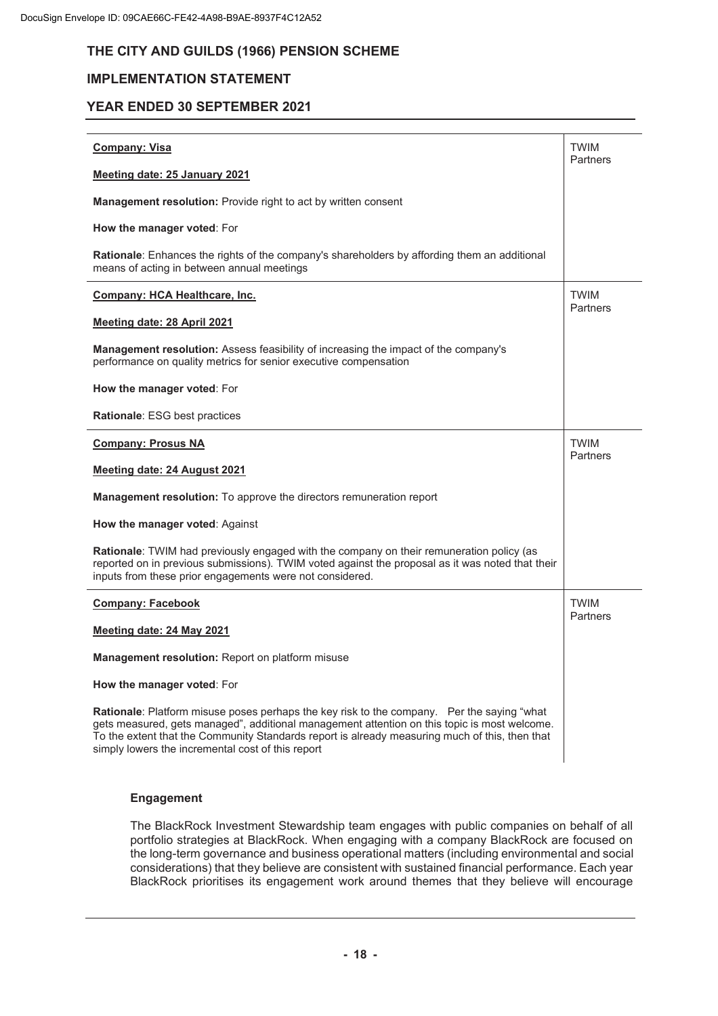## **IMPLEMENTATION STATEMENT**

#### **YEAR ENDED 30 SEPTEMBER 2021**

| <b>Company: Visa</b>                                                                                                                                                                                                                                                                                                                              | <b>TWIM</b><br>Partners |  |  |  |
|---------------------------------------------------------------------------------------------------------------------------------------------------------------------------------------------------------------------------------------------------------------------------------------------------------------------------------------------------|-------------------------|--|--|--|
| Meeting date: 25 January 2021                                                                                                                                                                                                                                                                                                                     |                         |  |  |  |
| <b>Management resolution:</b> Provide right to act by written consent                                                                                                                                                                                                                                                                             |                         |  |  |  |
| How the manager voted: For                                                                                                                                                                                                                                                                                                                        |                         |  |  |  |
| Rationale: Enhances the rights of the company's shareholders by affording them an additional<br>means of acting in between annual meetings                                                                                                                                                                                                        |                         |  |  |  |
| Company: HCA Healthcare, Inc.                                                                                                                                                                                                                                                                                                                     | <b>TWIM</b><br>Partners |  |  |  |
| Meeting date: 28 April 2021                                                                                                                                                                                                                                                                                                                       |                         |  |  |  |
| Management resolution: Assess feasibility of increasing the impact of the company's<br>performance on quality metrics for senior executive compensation                                                                                                                                                                                           |                         |  |  |  |
| How the manager voted: For                                                                                                                                                                                                                                                                                                                        |                         |  |  |  |
| Rationale: ESG best practices                                                                                                                                                                                                                                                                                                                     |                         |  |  |  |
| <b>Company: Prosus NA</b>                                                                                                                                                                                                                                                                                                                         | <b>TWIM</b><br>Partners |  |  |  |
| Meeting date: 24 August 2021                                                                                                                                                                                                                                                                                                                      |                         |  |  |  |
| Management resolution: To approve the directors remuneration report                                                                                                                                                                                                                                                                               |                         |  |  |  |
| How the manager voted: Against                                                                                                                                                                                                                                                                                                                    |                         |  |  |  |
| Rationale: TWIM had previously engaged with the company on their remuneration policy (as<br>reported on in previous submissions). TWIM voted against the proposal as it was noted that their<br>inputs from these prior engagements were not considered.                                                                                          |                         |  |  |  |
| <b>Company: Facebook</b>                                                                                                                                                                                                                                                                                                                          | <b>TWIM</b><br>Partners |  |  |  |
| Meeting date: 24 May 2021                                                                                                                                                                                                                                                                                                                         |                         |  |  |  |
| Management resolution: Report on platform misuse                                                                                                                                                                                                                                                                                                  |                         |  |  |  |
| How the manager voted: For                                                                                                                                                                                                                                                                                                                        |                         |  |  |  |
| Rationale: Platform misuse poses perhaps the key risk to the company. Per the saying "what<br>gets measured, gets managed", additional management attention on this topic is most welcome.<br>To the extent that the Community Standards report is already measuring much of this, then that<br>simply lowers the incremental cost of this report |                         |  |  |  |

### **Engagement**

The BlackRock Investment Stewardship team engages with public companies on behalf of all portfolio strategies at BlackRock. When engaging with a company BlackRock are focused on the long-term governance and business operational matters (including environmental and social considerations) that they believe are consistent with sustained financial performance. Each year BlackRock prioritises its engagement work around themes that they believe will encourage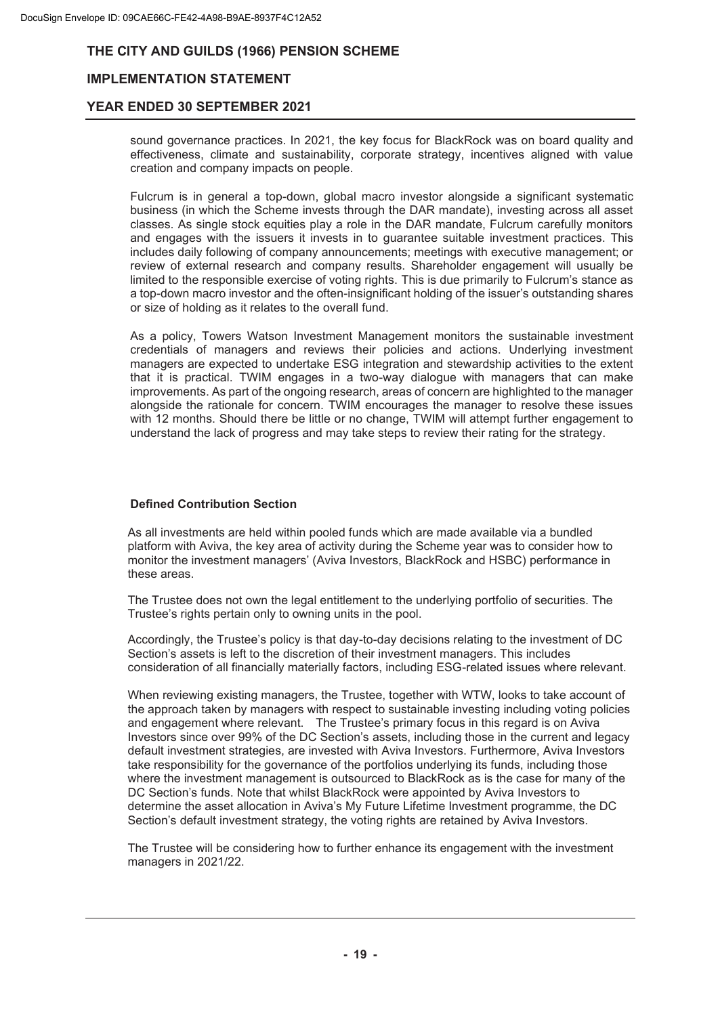## **IMPLEMENTATION STATEMENT**

## **YEAR ENDED 30 SEPTEMBER 2021**

sound governance practices. In 2021, the key focus for BlackRock was on board quality and effectiveness, climate and sustainability, corporate strategy, incentives aligned with value creation and company impacts on people.

Fulcrum is in general a top-down, global macro investor alongside a significant systematic business (in which the Scheme invests through the DAR mandate), investing across all asset classes. As single stock equities play a role in the DAR mandate, Fulcrum carefully monitors and engages with the issuers it invests in to guarantee suitable investment practices. This includes daily following of company announcements; meetings with executive management; or review of external research and company results. Shareholder engagement will usually be limited to the responsible exercise of voting rights. This is due primarily to Fulcrum's stance as a top-down macro investor and the often-insignificant holding of the issuer's outstanding shares or size of holding as it relates to the overall fund.

As a policy, Towers Watson Investment Management monitors the sustainable investment credentials of managers and reviews their policies and actions. Underlying investment managers are expected to undertake ESG integration and stewardship activities to the extent that it is practical. TWIM engages in a two-way dialogue with managers that can make improvements. As part of the ongoing research, areas of concern are highlighted to the manager alongside the rationale for concern. TWIM encourages the manager to resolve these issues with 12 months. Should there be little or no change, TWIM will attempt further engagement to understand the lack of progress and may take steps to review their rating for the strategy.

#### **Defined Contribution Section**

As all investments are held within pooled funds which are made available via a bundled platform with Aviva, the key area of activity during the Scheme year was to consider how to monitor the investment managers' (Aviva Investors, BlackRock and HSBC) performance in these areas.

The Trustee does not own the legal entitlement to the underlying portfolio of securities. The Trustee's rights pertain only to owning units in the pool.

Accordingly, the Trustee's policy is that day-to-day decisions relating to the investment of DC Section's assets is left to the discretion of their investment managers. This includes consideration of all financially materially factors, including ESG-related issues where relevant.

When reviewing existing managers, the Trustee, together with WTW, looks to take account of the approach taken by managers with respect to sustainable investing including voting policies and engagement where relevant. The Trustee's primary focus in this regard is on Aviva Investors since over 99% of the DC Section's assets, including those in the current and legacy default investment strategies, are invested with Aviva Investors. Furthermore, Aviva Investors take responsibility for the governance of the portfolios underlying its funds, including those where the investment management is outsourced to BlackRock as is the case for many of the DC Section's funds. Note that whilst BlackRock were appointed by Aviva Investors to determine the asset allocation in Aviva's My Future Lifetime Investment programme, the DC Section's default investment strategy, the voting rights are retained by Aviva Investors.

The Trustee will be considering how to further enhance its engagement with the investment managers in 2021/22.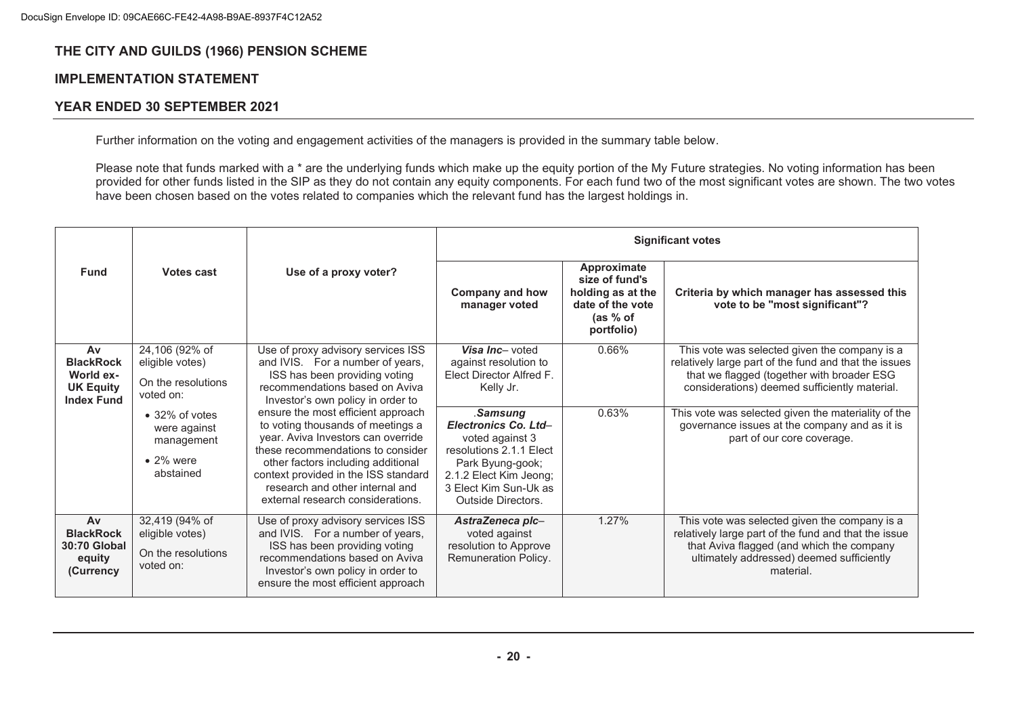## **IMPLEMENTATION STATEMENT**

## **YEAR ENDED 30 SEPTEMBER 2021**

Further information on the voting and engagement activities of the managers is provided in the summary table below.

Please note that funds marked with a \* are the underlying funds which make up the equity portion of the My Future strategies. No voting information has been provided for other funds listed in the SIP as they do not contain any equity components. For each fund two of the most significant votes are shown. The two votes have been chosen based on the votes related to companies which the relevant fund has the largest holdings in.

|                                                                              | Votes cast                                                                             | Use of a proxy voter?                                                                                                                                                                                                                                                                                    | <b>Significant votes</b>                                                                                                                                                    |                                                                                                            |                                                                                                                                                                                                              |  |
|------------------------------------------------------------------------------|----------------------------------------------------------------------------------------|----------------------------------------------------------------------------------------------------------------------------------------------------------------------------------------------------------------------------------------------------------------------------------------------------------|-----------------------------------------------------------------------------------------------------------------------------------------------------------------------------|------------------------------------------------------------------------------------------------------------|--------------------------------------------------------------------------------------------------------------------------------------------------------------------------------------------------------------|--|
| <b>Fund</b>                                                                  |                                                                                        |                                                                                                                                                                                                                                                                                                          | <b>Company and how</b><br>manager voted                                                                                                                                     | Approximate<br>size of fund's<br>holding as at the<br>date of the vote<br>$(as % of \theta)$<br>portfolio) | Criteria by which manager has assessed this<br>vote to be "most significant"?                                                                                                                                |  |
| Av<br><b>BlackRock</b><br>World ex-<br><b>UK Equity</b><br><b>Index Fund</b> | 24,106 (92% of<br>eligible votes)<br>On the resolutions<br>voted on:                   | Use of proxy advisory services ISS<br>and IVIS. For a number of years,<br>ISS has been providing voting<br>recommendations based on Aviva<br>Investor's own policy in order to                                                                                                                           | Visa Inc- voted<br>against resolution to<br>Elect Director Alfred F.<br>Kelly Jr.                                                                                           | 0.66%                                                                                                      | This vote was selected given the company is a<br>relatively large part of the fund and that the issues<br>that we flagged (together with broader ESG<br>considerations) deemed sufficiently material.        |  |
|                                                                              | $\bullet$ 32% of votes<br>were against<br>management<br>$\bullet$ 2% were<br>abstained | ensure the most efficient approach<br>to voting thousands of meetings a<br>year. Aviva Investors can override<br>these recommendations to consider<br>other factors including additional<br>context provided in the ISS standard<br>research and other internal and<br>external research considerations. | .Samsung<br>Electronics Co. Ltd-<br>voted against 3<br>resolutions 2.1.1 Elect<br>Park Byung-gook;<br>2.1.2 Elect Kim Jeong;<br>3 Elect Kim Sun-Uk as<br>Outside Directors. | 0.63%                                                                                                      | This vote was selected given the materiality of the<br>governance issues at the company and as it is<br>part of our core coverage.                                                                           |  |
| Av<br><b>BlackRock</b><br>30:70 Global<br>equity<br>(Currency                | 32,419 (94% of<br>eligible votes)<br>On the resolutions<br>voted on:                   | Use of proxy advisory services ISS<br>and IVIS. For a number of years,<br>ISS has been providing voting<br>recommendations based on Aviva<br>Investor's own policy in order to<br>ensure the most efficient approach                                                                                     | AstraZeneca plc-<br>voted against<br>resolution to Approve<br>Remuneration Policy.                                                                                          | 1.27%                                                                                                      | This vote was selected given the company is a<br>relatively large part of the fund and that the issue<br>that Aviva flagged (and which the company<br>ultimately addressed) deemed sufficiently<br>material. |  |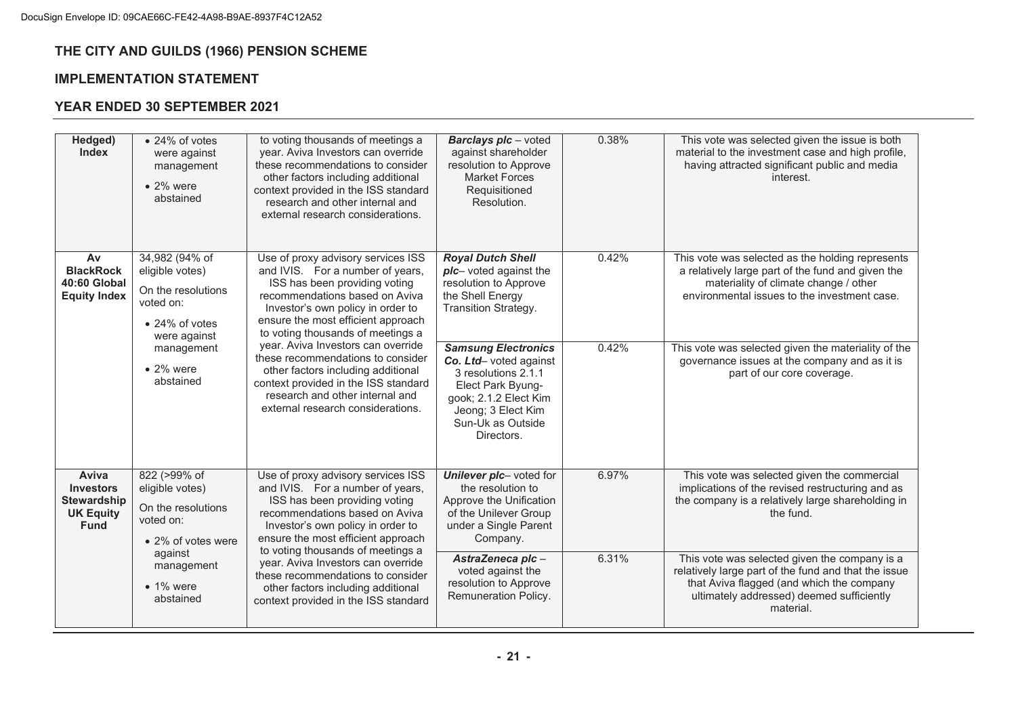## **IMPLEMENTATION STATEMENT**

| Hedged)<br><b>Index</b>                                                            | • 24% of votes<br>were against<br>management<br>$\bullet$ 2% were<br>abstained                                 | to voting thousands of meetings a<br>year. Aviva Investors can override<br>these recommendations to consider<br>other factors including additional<br>context provided in the ISS standard<br>research and other internal and<br>external research considerations. | <b>Barclays plc</b> - voted<br>against shareholder<br>resolution to Approve<br><b>Market Forces</b><br>Requisitioned<br>Resolution.                                                | 0.38% | This vote was selected given the issue is both<br>material to the investment case and high profile,<br>having attracted significant public and media<br>interest.                                            |
|------------------------------------------------------------------------------------|----------------------------------------------------------------------------------------------------------------|--------------------------------------------------------------------------------------------------------------------------------------------------------------------------------------------------------------------------------------------------------------------|------------------------------------------------------------------------------------------------------------------------------------------------------------------------------------|-------|--------------------------------------------------------------------------------------------------------------------------------------------------------------------------------------------------------------|
| Av<br><b>BlackRock</b><br>40:60 Global<br><b>Equity Index</b>                      | 34,982 (94% of<br>eligible votes)<br>On the resolutions<br>voted on:<br>$\bullet$ 24% of votes<br>were against | Use of proxy advisory services ISS<br>and IVIS. For a number of years,<br>ISS has been providing voting<br>recommendations based on Aviva<br>Investor's own policy in order to<br>ensure the most efficient approach<br>to voting thousands of meetings a          | <b>Royal Dutch Shell</b><br>plc- voted against the<br>resolution to Approve<br>the Shell Energy<br>Transition Strategy.                                                            | 0.42% | This vote was selected as the holding represents<br>a relatively large part of the fund and given the<br>materiality of climate change / other<br>environmental issues to the investment case.               |
|                                                                                    | management<br>$\bullet$ 2% were<br>abstained                                                                   | year. Aviva Investors can override<br>these recommendations to consider<br>other factors including additional<br>context provided in the ISS standard<br>research and other internal and<br>external research considerations.                                      | <b>Samsung Electronics</b><br>Co. Ltd- voted against<br>3 resolutions 2.1.1<br>Elect Park Byung-<br>gook; 2.1.2 Elect Kim<br>Jeong; 3 Elect Kim<br>Sun-Uk as Outside<br>Directors. | 0.42% | This vote was selected given the materiality of the<br>governance issues at the company and as it is<br>part of our core coverage.                                                                           |
| Aviva<br><b>Investors</b><br><b>Stewardship</b><br><b>UK Equity</b><br><b>Fund</b> | 822 (>99% of<br>eligible votes)<br>On the resolutions<br>voted on:<br>• 2% of votes were                       | Use of proxy advisory services ISS<br>and IVIS. For a number of years,<br>ISS has been providing voting<br>recommendations based on Aviva<br>Investor's own policy in order to<br>ensure the most efficient approach                                               | Unilever plc- voted for<br>the resolution to<br>Approve the Unification<br>of the Unilever Group<br>under a Single Parent<br>Company.                                              | 6.97% | This vote was selected given the commercial<br>implications of the revised restructuring and as<br>the company is a relatively large shareholding in<br>the fund.                                            |
|                                                                                    | against<br>management<br>$\bullet$ 1% were<br>abstained                                                        | to voting thousands of meetings a<br>year. Aviva Investors can override<br>these recommendations to consider<br>other factors including additional<br>context provided in the ISS standard                                                                         | AstraZeneca plc-<br>voted against the<br>resolution to Approve<br>Remuneration Policy.                                                                                             | 6.31% | This vote was selected given the company is a<br>relatively large part of the fund and that the issue<br>that Aviva flagged (and which the company<br>ultimately addressed) deemed sufficiently<br>material. |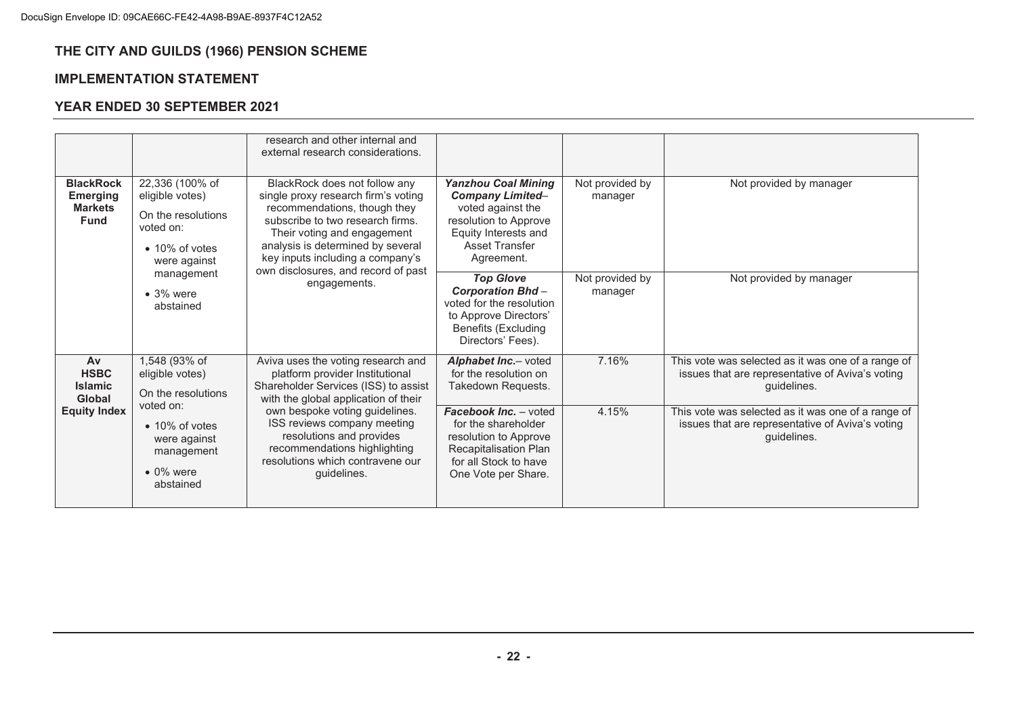## **IMPLEMENTATION STATEMENT**

| <b>BlackRock</b><br><b>Emerging</b><br><b>Markets</b><br><b>Fund</b> | 22,336 (100% of<br>eligible votes)<br>On the resolutions<br>voted on:<br>$\bullet$ 10% of votes<br>were against                                       | research and other internal and<br>external research considerations.<br>BlackRock does not follow any<br>single proxy research firm's voting<br>recommendations, though they<br>subscribe to two research firms.<br>Their voting and engagement<br>analysis is determined by several<br>key inputs including a company's<br>own disclosures, and record of past<br>engagements. | <b>Yanzhou Coal Mining</b><br><b>Company Limited-</b><br>voted against the<br>resolution to Approve<br>Equity Interests and<br><b>Asset Transfer</b><br>Agreement.                                                    | Not provided by<br>manager | Not provided by manager                                                                                                                                                                                                                        |
|----------------------------------------------------------------------|-------------------------------------------------------------------------------------------------------------------------------------------------------|---------------------------------------------------------------------------------------------------------------------------------------------------------------------------------------------------------------------------------------------------------------------------------------------------------------------------------------------------------------------------------|-----------------------------------------------------------------------------------------------------------------------------------------------------------------------------------------------------------------------|----------------------------|------------------------------------------------------------------------------------------------------------------------------------------------------------------------------------------------------------------------------------------------|
|                                                                      | management<br>$\bullet$ 3% were<br>abstained                                                                                                          |                                                                                                                                                                                                                                                                                                                                                                                 | <b>Top Glove</b><br><b>Corporation Bhd-</b><br>voted for the resolution<br>to Approve Directors'<br><b>Benefits (Excluding</b><br>Directors' Fees).                                                                   | Not provided by<br>manager | Not provided by manager                                                                                                                                                                                                                        |
| Av<br><b>HSBC</b><br><b>Islamic</b><br>Global<br><b>Equity Index</b> | 1,548 (93% of<br>eligible votes)<br>On the resolutions<br>voted on:<br>• 10% of votes<br>were against<br>management<br>$\bullet$ 0% were<br>abstained | Aviva uses the voting research and<br>platform provider Institutional<br>Shareholder Services (ISS) to assist<br>with the global application of their<br>own bespoke voting guidelines.<br>ISS reviews company meeting<br>resolutions and provides<br>recommendations highlighting<br>resolutions which contravene our<br>guidelines.                                           | Alphabet Inc.- voted<br>for the resolution on<br>Takedown Requests.<br>Facebook Inc. - voted<br>for the shareholder<br>resolution to Approve<br>Recapitalisation Plan<br>for all Stock to have<br>One Vote per Share. | 7.16%<br>4.15%             | This vote was selected as it was one of a range of<br>issues that are representative of Aviva's voting<br>quidelines.<br>This vote was selected as it was one of a range of<br>issues that are representative of Aviva's voting<br>quidelines. |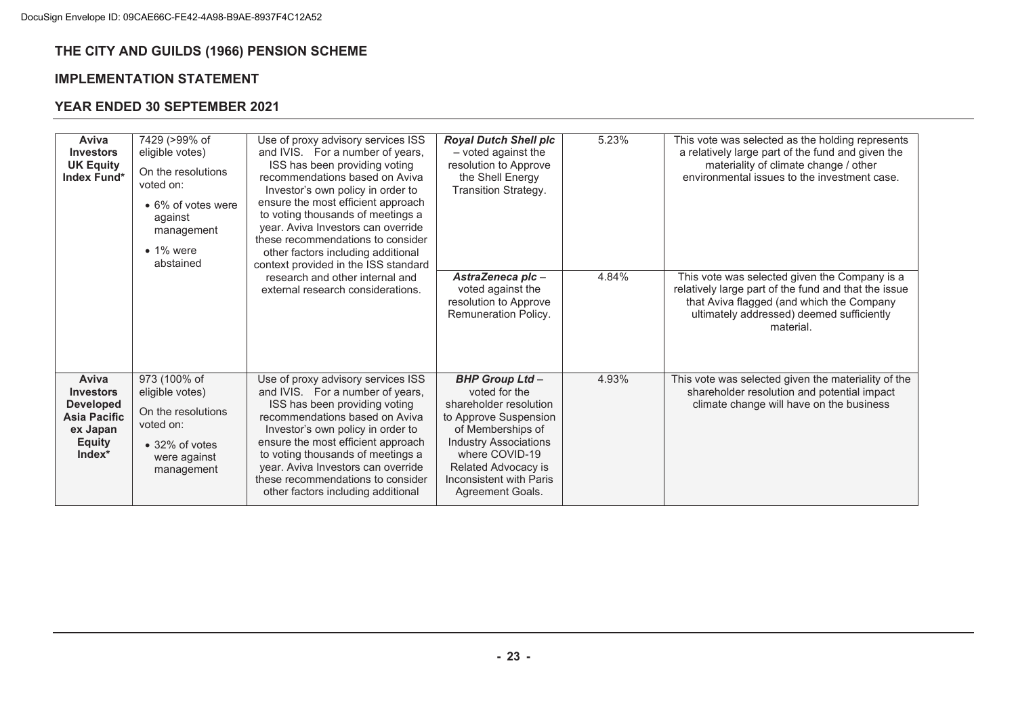## **IMPLEMENTATION STATEMENT**

| Aviva<br><b>Investors</b><br><b>UK Equity</b><br>Index Fund*                                                  | 7429 (>99% of<br>eligible votes)<br>On the resolutions<br>voted on:<br>• 6% of votes were<br>against<br>management<br>$\bullet$ 1% were<br>abstained | Use of proxy advisory services ISS<br>and IVIS. For a number of years,<br>ISS has been providing voting<br>recommendations based on Aviva<br>Investor's own policy in order to<br>ensure the most efficient approach<br>to voting thousands of meetings a<br>year. Aviva Investors can override<br>these recommendations to consider<br>other factors including additional<br>context provided in the ISS standard<br>research and other internal and<br>external research considerations. | <b>Royal Dutch Shell plc</b><br>- voted against the<br>resolution to Approve<br>the Shell Energy<br>Transition Strategy.                                                                                                               | 5.23% | This vote was selected as the holding represents<br>a relatively large part of the fund and given the<br>materiality of climate change / other<br>environmental issues to the investment case.              |
|---------------------------------------------------------------------------------------------------------------|------------------------------------------------------------------------------------------------------------------------------------------------------|--------------------------------------------------------------------------------------------------------------------------------------------------------------------------------------------------------------------------------------------------------------------------------------------------------------------------------------------------------------------------------------------------------------------------------------------------------------------------------------------|----------------------------------------------------------------------------------------------------------------------------------------------------------------------------------------------------------------------------------------|-------|-------------------------------------------------------------------------------------------------------------------------------------------------------------------------------------------------------------|
|                                                                                                               |                                                                                                                                                      |                                                                                                                                                                                                                                                                                                                                                                                                                                                                                            | AstraZeneca plc-<br>voted against the<br>resolution to Approve<br>Remuneration Policy.                                                                                                                                                 | 4.84% | This vote was selected given the Company is a<br>relatively large part of the fund and that the issue<br>that Aviva flagged (and which the Company<br>ultimately addressed) deemed sufficiently<br>material |
| Aviva<br><b>Investors</b><br><b>Developed</b><br><b>Asia Pacific</b><br>ex Japan<br><b>Equity</b><br>$Index*$ | 973 (100% of<br>eligible votes)<br>On the resolutions<br>voted on:<br>$\bullet$ 32% of votes<br>were against<br>management                           | Use of proxy advisory services ISS<br>and IVIS. For a number of years,<br>ISS has been providing voting<br>recommendations based on Aviva<br>Investor's own policy in order to<br>ensure the most efficient approach<br>to voting thousands of meetings a<br>year. Aviva Investors can override<br>these recommendations to consider<br>other factors including additional                                                                                                                 | <b>BHP Group Ltd-</b><br>voted for the<br>shareholder resolution<br>to Approve Suspension<br>of Memberships of<br><b>Industry Associations</b><br>where COVID-19<br>Related Advocacy is<br>Inconsistent with Paris<br>Agreement Goals. | 4.93% | This vote was selected given the materiality of the<br>shareholder resolution and potential impact<br>climate change will have on the business                                                              |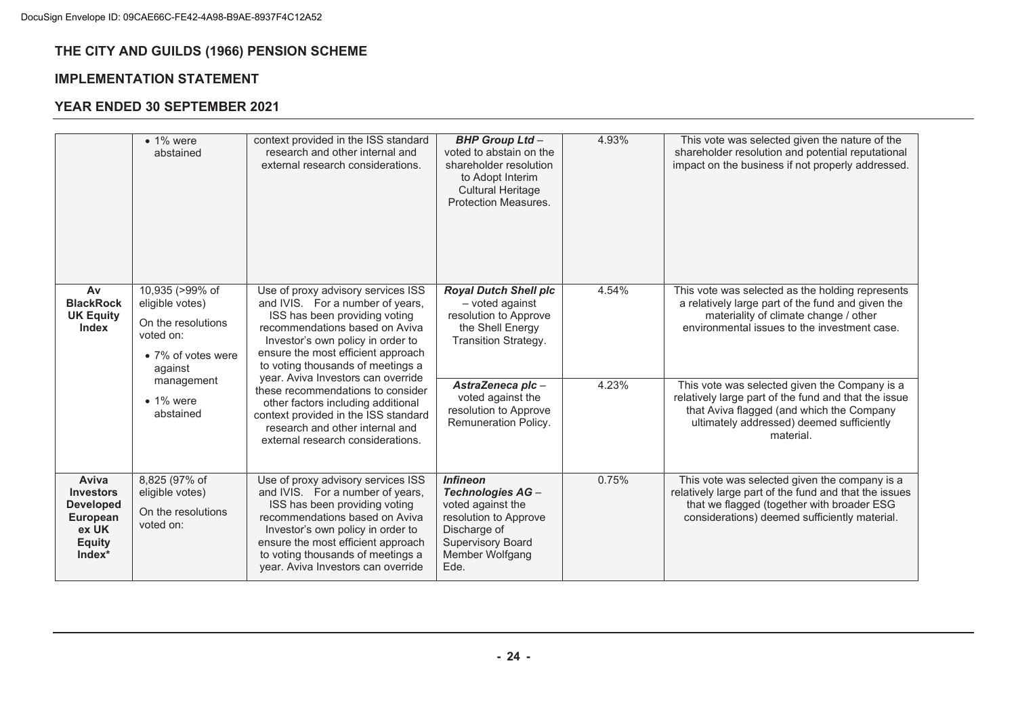## **IMPLEMENTATION STATEMENT**

|                                                                                               | $\bullet$ 1% were<br>abstained                                                                                                                         | context provided in the ISS standard<br>research and other internal and<br>external research considerations.                                                                                                                                                                                                                                                                                                                                                                               | <b>BHP Group Ltd-</b><br>voted to abstain on the<br>shareholder resolution<br>to Adopt Interim<br><b>Cultural Heritage</b><br>Protection Measures.                                                             | 4.93%          | This vote was selected given the nature of the<br>shareholder resolution and potential reputational<br>impact on the business if not properly addressed.                                                                                                                                                                                                                                                       |
|-----------------------------------------------------------------------------------------------|--------------------------------------------------------------------------------------------------------------------------------------------------------|--------------------------------------------------------------------------------------------------------------------------------------------------------------------------------------------------------------------------------------------------------------------------------------------------------------------------------------------------------------------------------------------------------------------------------------------------------------------------------------------|----------------------------------------------------------------------------------------------------------------------------------------------------------------------------------------------------------------|----------------|----------------------------------------------------------------------------------------------------------------------------------------------------------------------------------------------------------------------------------------------------------------------------------------------------------------------------------------------------------------------------------------------------------------|
| Av<br><b>BlackRock</b><br><b>UK Equity</b><br><b>Index</b>                                    | 10,935 (>99% of<br>eligible votes)<br>On the resolutions<br>voted on:<br>• 7% of votes were<br>against<br>management<br>$\bullet$ 1% were<br>abstained | Use of proxy advisory services ISS<br>and IVIS. For a number of years,<br>ISS has been providing voting<br>recommendations based on Aviva<br>Investor's own policy in order to<br>ensure the most efficient approach<br>to voting thousands of meetings a<br>year. Aviva Investors can override<br>these recommendations to consider<br>other factors including additional<br>context provided in the ISS standard<br>research and other internal and<br>external research considerations. | <b>Royal Dutch Shell plc</b><br>- voted against<br>resolution to Approve<br>the Shell Energy<br>Transition Strategy.<br>AstraZeneca plc-<br>voted against the<br>resolution to Approve<br>Remuneration Policy. | 4.54%<br>4.23% | This vote was selected as the holding represents<br>a relatively large part of the fund and given the<br>materiality of climate change / other<br>environmental issues to the investment case.<br>This vote was selected given the Company is a<br>relatively large part of the fund and that the issue<br>that Aviva flagged (and which the Company<br>ultimately addressed) deemed sufficiently<br>material. |
| Aviva<br><b>Investors</b><br><b>Developed</b><br>European<br>ex UK<br><b>Equity</b><br>Index* | 8,825 (97% of<br>eligible votes)<br>On the resolutions<br>voted on:                                                                                    | Use of proxy advisory services ISS<br>and IVIS. For a number of years,<br>ISS has been providing voting<br>recommendations based on Aviva<br>Investor's own policy in order to<br>ensure the most efficient approach<br>to voting thousands of meetings a<br>year. Aviva Investors can override                                                                                                                                                                                            | <b>Infineon</b><br>Technologies AG-<br>voted against the<br>resolution to Approve<br>Discharge of<br><b>Supervisory Board</b><br>Member Wolfgang<br>Ede.                                                       | 0.75%          | This vote was selected given the company is a<br>relatively large part of the fund and that the issues<br>that we flagged (together with broader ESG<br>considerations) deemed sufficiently material.                                                                                                                                                                                                          |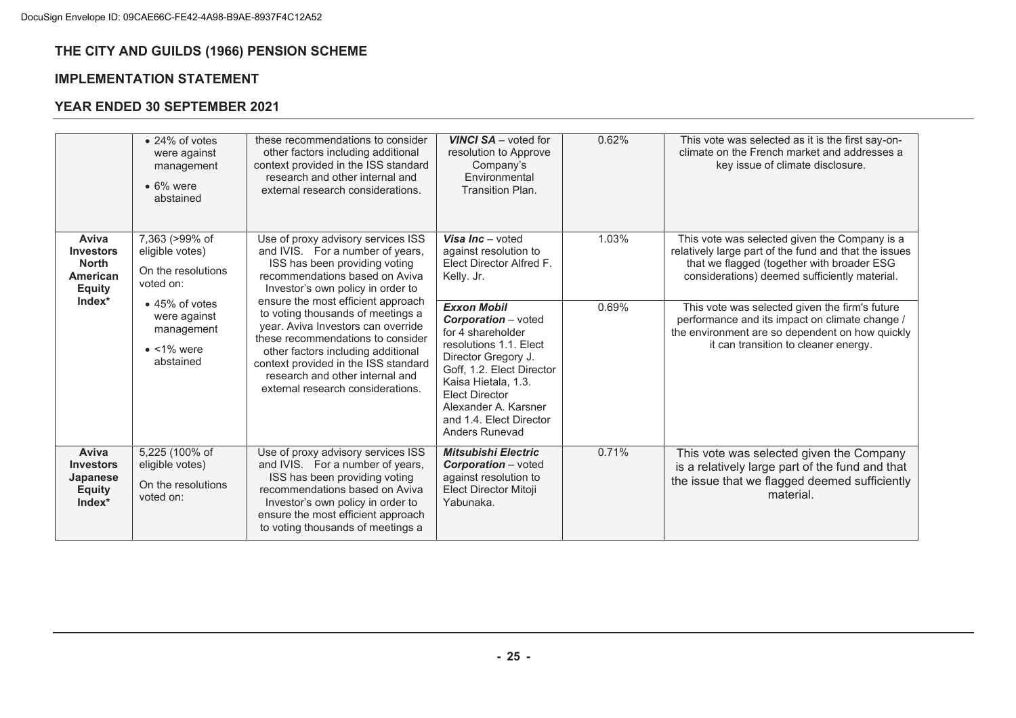## **IMPLEMENTATION STATEMENT**

|                                                                                    | $\bullet$ 24% of votes<br>were against<br>management<br>$\bullet$ 6% were<br>abstained  | these recommendations to consider<br>other factors including additional<br>context provided in the ISS standard<br>research and other internal and<br>external research considerations.                                                                                                                                                                                                                                                                                                    | <b>VINCI SA</b> - voted for<br>resolution to Approve<br>Company's<br>Environmental<br><b>Transition Plan.</b>                                                                                                                                                            | 0.62% | This vote was selected as it is the first say-on-<br>climate on the French market and addresses a<br>key issue of climate disclosure.                                                                 |
|------------------------------------------------------------------------------------|-----------------------------------------------------------------------------------------|--------------------------------------------------------------------------------------------------------------------------------------------------------------------------------------------------------------------------------------------------------------------------------------------------------------------------------------------------------------------------------------------------------------------------------------------------------------------------------------------|--------------------------------------------------------------------------------------------------------------------------------------------------------------------------------------------------------------------------------------------------------------------------|-------|-------------------------------------------------------------------------------------------------------------------------------------------------------------------------------------------------------|
| Aviva<br><b>Investors</b><br><b>North</b><br>American<br><b>Equity</b><br>$Index*$ | 7,363 (>99% of<br>eligible votes)<br>On the resolutions<br>voted on:                    | Use of proxy advisory services ISS<br>and IVIS. For a number of years,<br>ISS has been providing voting<br>recommendations based on Aviva<br>Investor's own policy in order to<br>ensure the most efficient approach<br>to voting thousands of meetings a<br>year. Aviva Investors can override<br>these recommendations to consider<br>other factors including additional<br>context provided in the ISS standard<br>research and other internal and<br>external research considerations. | Visa Inc $-$ voted<br>against resolution to<br>Elect Director Alfred F.<br>Kelly. Jr.                                                                                                                                                                                    | 1.03% | This vote was selected given the Company is a<br>relatively large part of the fund and that the issues<br>that we flagged (together with broader ESG<br>considerations) deemed sufficiently material. |
|                                                                                    | $\bullet$ 45% of votes<br>were against<br>management<br>$\bullet$ <1% were<br>abstained |                                                                                                                                                                                                                                                                                                                                                                                                                                                                                            | <b>Exxon Mobil</b><br><b>Corporation</b> – voted<br>for 4 shareholder<br>resolutions 1.1. Elect<br>Director Gregory J.<br>Goff, 1.2. Elect Director<br>Kaisa Hietala, 1.3.<br><b>Elect Director</b><br>Alexander A. Karsner<br>and 1.4. Elect Director<br>Anders Runevad | 0.69% | This vote was selected given the firm's future<br>performance and its impact on climate change /<br>the environment are so dependent on how quickly<br>it can transition to cleaner energy.           |
| Aviva<br><b>Investors</b><br>Japanese<br><b>Equity</b><br>Index*                   | 5,225 (100% of<br>eligible votes)<br>On the resolutions<br>voted on:                    | Use of proxy advisory services ISS<br>and IVIS. For a number of years,<br>ISS has been providing voting<br>recommendations based on Aviva<br>Investor's own policy in order to<br>ensure the most efficient approach<br>to voting thousands of meetings a                                                                                                                                                                                                                                  | <b>Mitsubishi Electric</b><br><b>Corporation</b> – voted<br>against resolution to<br>Elect Director Mitoji<br>Yabunaka.                                                                                                                                                  | 0.71% | This vote was selected given the Company<br>is a relatively large part of the fund and that<br>the issue that we flagged deemed sufficiently<br>material.                                             |